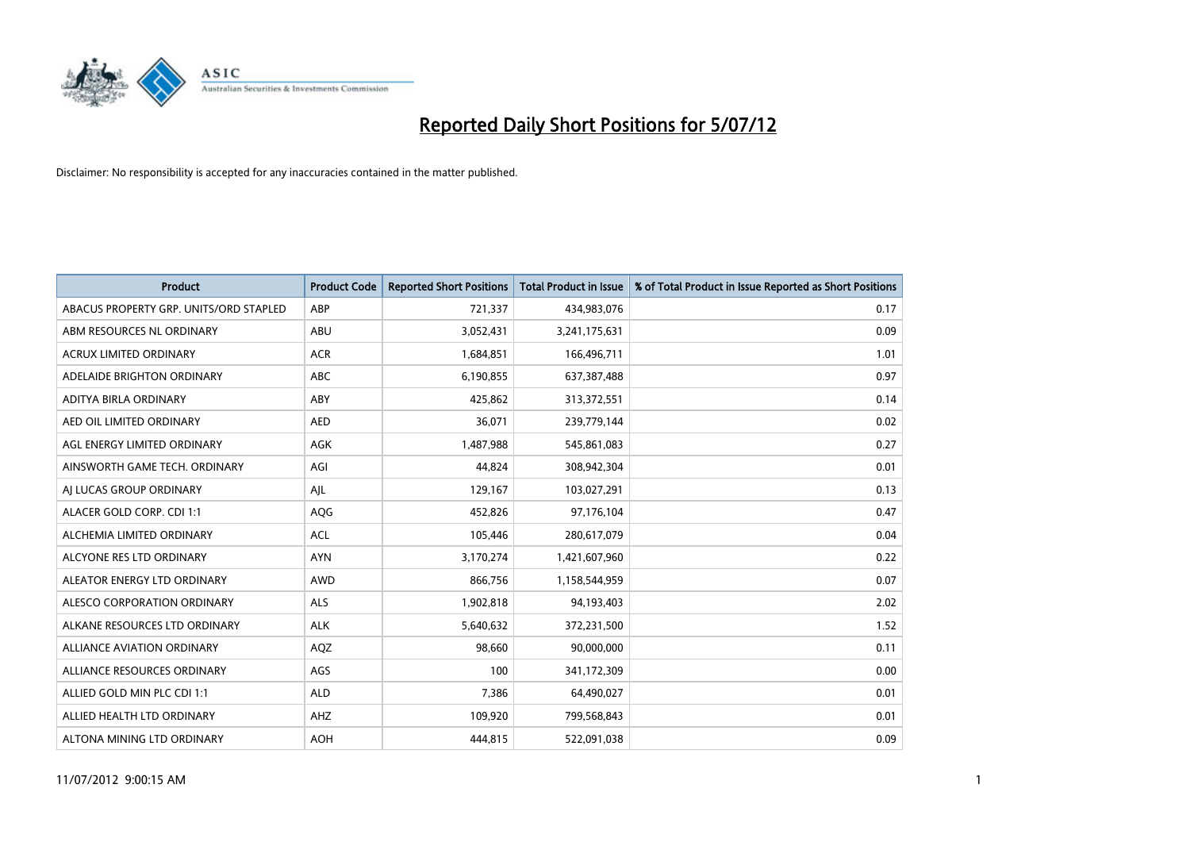

| <b>Product</b>                         | <b>Product Code</b> | <b>Reported Short Positions</b> | <b>Total Product in Issue</b> | % of Total Product in Issue Reported as Short Positions |
|----------------------------------------|---------------------|---------------------------------|-------------------------------|---------------------------------------------------------|
| ABACUS PROPERTY GRP. UNITS/ORD STAPLED | ABP                 | 721,337                         | 434,983,076                   | 0.17                                                    |
| ABM RESOURCES NL ORDINARY              | ABU                 | 3,052,431                       | 3,241,175,631                 | 0.09                                                    |
| <b>ACRUX LIMITED ORDINARY</b>          | <b>ACR</b>          | 1,684,851                       | 166,496,711                   | 1.01                                                    |
| ADELAIDE BRIGHTON ORDINARY             | <b>ABC</b>          | 6,190,855                       | 637,387,488                   | 0.97                                                    |
| <b>ADITYA BIRLA ORDINARY</b>           | ABY                 | 425.862                         | 313,372,551                   | 0.14                                                    |
| AED OIL LIMITED ORDINARY               | <b>AED</b>          | 36,071                          | 239,779,144                   | 0.02                                                    |
| AGL ENERGY LIMITED ORDINARY            | AGK                 | 1,487,988                       | 545,861,083                   | 0.27                                                    |
| AINSWORTH GAME TECH. ORDINARY          | AGI                 | 44,824                          | 308,942,304                   | 0.01                                                    |
| AJ LUCAS GROUP ORDINARY                | AJL                 | 129,167                         | 103,027,291                   | 0.13                                                    |
| ALACER GOLD CORP. CDI 1:1              | AQG                 | 452,826                         | 97,176,104                    | 0.47                                                    |
| ALCHEMIA LIMITED ORDINARY              | <b>ACL</b>          | 105,446                         | 280,617,079                   | 0.04                                                    |
| ALCYONE RES LTD ORDINARY               | <b>AYN</b>          | 3,170,274                       | 1,421,607,960                 | 0.22                                                    |
| ALEATOR ENERGY LTD ORDINARY            | <b>AWD</b>          | 866,756                         | 1,158,544,959                 | 0.07                                                    |
| ALESCO CORPORATION ORDINARY            | <b>ALS</b>          | 1,902,818                       | 94,193,403                    | 2.02                                                    |
| ALKANE RESOURCES LTD ORDINARY          | <b>ALK</b>          | 5,640,632                       | 372,231,500                   | 1.52                                                    |
| <b>ALLIANCE AVIATION ORDINARY</b>      | AQZ                 | 98,660                          | 90,000,000                    | 0.11                                                    |
| ALLIANCE RESOURCES ORDINARY            | AGS                 | 100                             | 341,172,309                   | 0.00                                                    |
| ALLIED GOLD MIN PLC CDI 1:1            | <b>ALD</b>          | 7,386                           | 64,490,027                    | 0.01                                                    |
| ALLIED HEALTH LTD ORDINARY             | AHZ                 | 109,920                         | 799,568,843                   | 0.01                                                    |
| ALTONA MINING LTD ORDINARY             | <b>AOH</b>          | 444.815                         | 522,091,038                   | 0.09                                                    |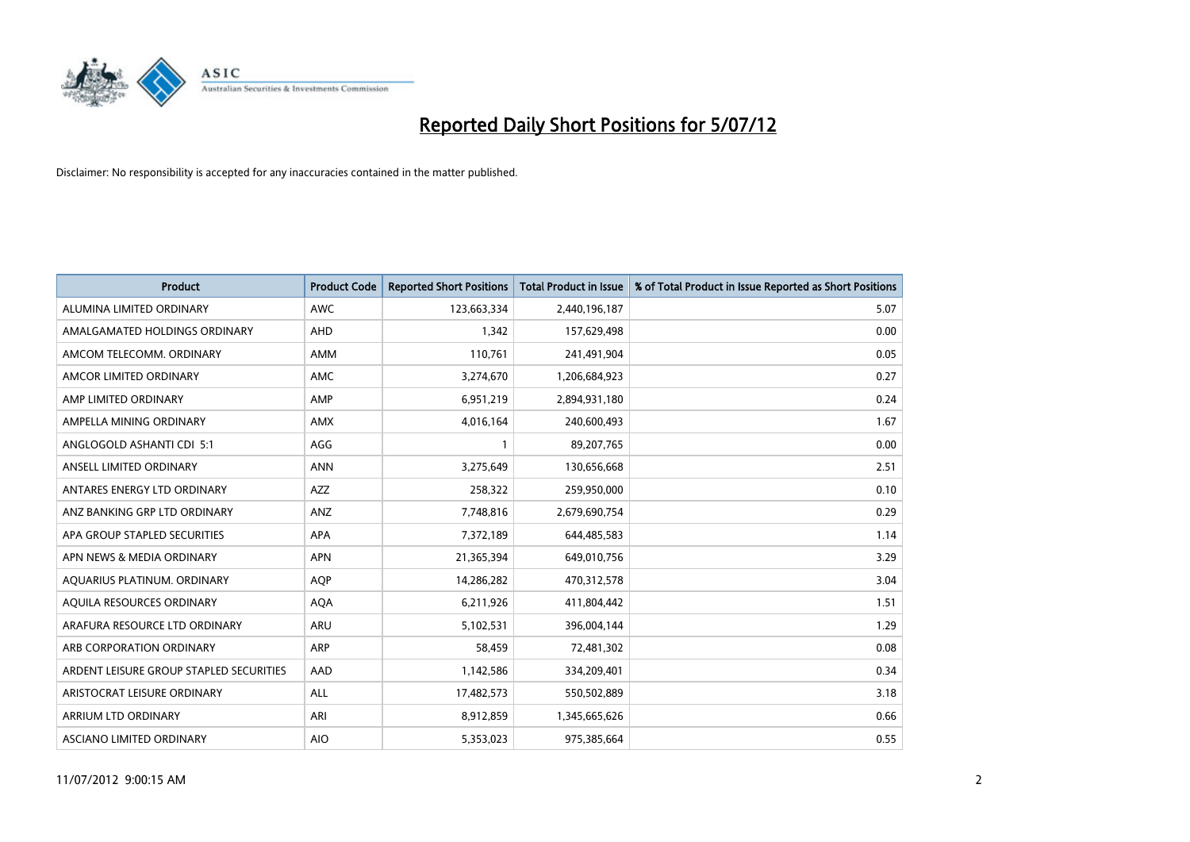

| <b>Product</b>                          | <b>Product Code</b> | <b>Reported Short Positions</b> | <b>Total Product in Issue</b> | % of Total Product in Issue Reported as Short Positions |
|-----------------------------------------|---------------------|---------------------------------|-------------------------------|---------------------------------------------------------|
| ALUMINA LIMITED ORDINARY                | <b>AWC</b>          | 123,663,334                     | 2,440,196,187                 | 5.07                                                    |
| AMALGAMATED HOLDINGS ORDINARY           | <b>AHD</b>          | 1,342                           | 157,629,498                   | 0.00                                                    |
| AMCOM TELECOMM. ORDINARY                | <b>AMM</b>          | 110,761                         | 241,491,904                   | 0.05                                                    |
| AMCOR LIMITED ORDINARY                  | AMC                 | 3,274,670                       | 1,206,684,923                 | 0.27                                                    |
| AMP LIMITED ORDINARY                    | AMP                 | 6,951,219                       | 2,894,931,180                 | 0.24                                                    |
| AMPELLA MINING ORDINARY                 | <b>AMX</b>          | 4,016,164                       | 240,600,493                   | 1.67                                                    |
| ANGLOGOLD ASHANTI CDI 5:1               | AGG                 |                                 | 89,207,765                    | 0.00                                                    |
| ANSELL LIMITED ORDINARY                 | <b>ANN</b>          | 3,275,649                       | 130,656,668                   | 2.51                                                    |
| ANTARES ENERGY LTD ORDINARY             | <b>AZZ</b>          | 258,322                         | 259,950,000                   | 0.10                                                    |
| ANZ BANKING GRP LTD ORDINARY            | ANZ                 | 7,748,816                       | 2,679,690,754                 | 0.29                                                    |
| APA GROUP STAPLED SECURITIES            | <b>APA</b>          | 7,372,189                       | 644,485,583                   | 1.14                                                    |
| APN NEWS & MEDIA ORDINARY               | <b>APN</b>          | 21,365,394                      | 649,010,756                   | 3.29                                                    |
| AQUARIUS PLATINUM. ORDINARY             | <b>AOP</b>          | 14,286,282                      | 470,312,578                   | 3.04                                                    |
| AQUILA RESOURCES ORDINARY               | <b>AQA</b>          | 6,211,926                       | 411,804,442                   | 1.51                                                    |
| ARAFURA RESOURCE LTD ORDINARY           | ARU                 | 5,102,531                       | 396,004,144                   | 1.29                                                    |
| ARB CORPORATION ORDINARY                | <b>ARP</b>          | 58,459                          | 72,481,302                    | 0.08                                                    |
| ARDENT LEISURE GROUP STAPLED SECURITIES | AAD                 | 1,142,586                       | 334,209,401                   | 0.34                                                    |
| ARISTOCRAT LEISURE ORDINARY             | <b>ALL</b>          | 17,482,573                      | 550,502,889                   | 3.18                                                    |
| <b>ARRIUM LTD ORDINARY</b>              | ARI                 | 8,912,859                       | 1,345,665,626                 | 0.66                                                    |
| ASCIANO LIMITED ORDINARY                | <b>AIO</b>          | 5,353,023                       | 975,385,664                   | 0.55                                                    |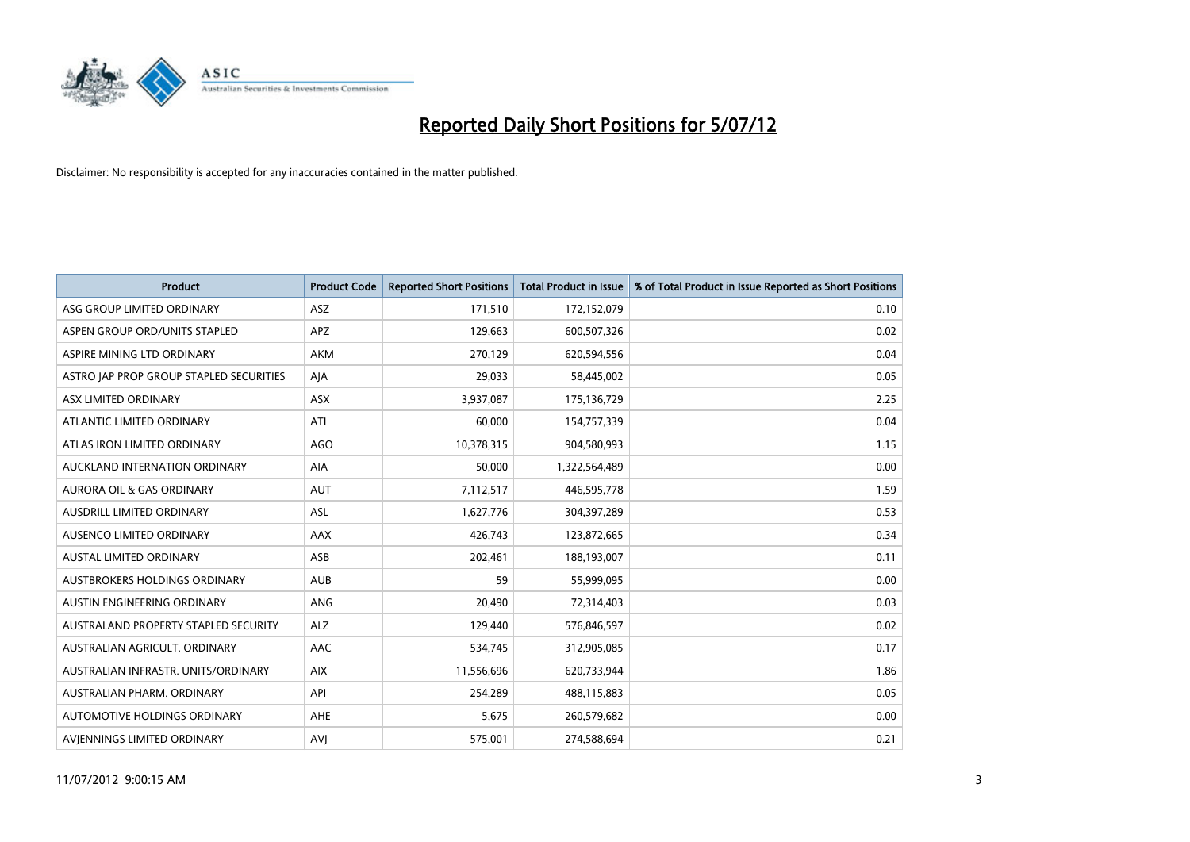

| <b>Product</b>                          | <b>Product Code</b> | <b>Reported Short Positions</b> | <b>Total Product in Issue</b> | % of Total Product in Issue Reported as Short Positions |
|-----------------------------------------|---------------------|---------------------------------|-------------------------------|---------------------------------------------------------|
| ASG GROUP LIMITED ORDINARY              | <b>ASZ</b>          | 171,510                         | 172,152,079                   | 0.10                                                    |
| ASPEN GROUP ORD/UNITS STAPLED           | <b>APZ</b>          | 129,663                         | 600,507,326                   | 0.02                                                    |
| ASPIRE MINING LTD ORDINARY              | <b>AKM</b>          | 270,129                         | 620,594,556                   | 0.04                                                    |
| ASTRO JAP PROP GROUP STAPLED SECURITIES | AJA                 | 29,033                          | 58,445,002                    | 0.05                                                    |
| ASX LIMITED ORDINARY                    | ASX                 | 3,937,087                       | 175,136,729                   | 2.25                                                    |
| ATLANTIC LIMITED ORDINARY               | ATI                 | 60,000                          | 154,757,339                   | 0.04                                                    |
| ATLAS IRON LIMITED ORDINARY             | <b>AGO</b>          | 10,378,315                      | 904,580,993                   | 1.15                                                    |
| AUCKLAND INTERNATION ORDINARY           | AIA                 | 50,000                          | 1,322,564,489                 | 0.00                                                    |
| <b>AURORA OIL &amp; GAS ORDINARY</b>    | <b>AUT</b>          | 7,112,517                       | 446,595,778                   | 1.59                                                    |
| AUSDRILL LIMITED ORDINARY               | <b>ASL</b>          | 1,627,776                       | 304,397,289                   | 0.53                                                    |
| AUSENCO LIMITED ORDINARY                | AAX                 | 426,743                         | 123,872,665                   | 0.34                                                    |
| <b>AUSTAL LIMITED ORDINARY</b>          | ASB                 | 202,461                         | 188,193,007                   | 0.11                                                    |
| AUSTBROKERS HOLDINGS ORDINARY           | <b>AUB</b>          | 59                              | 55,999,095                    | 0.00                                                    |
| AUSTIN ENGINEERING ORDINARY             | ANG                 | 20,490                          | 72,314,403                    | 0.03                                                    |
| AUSTRALAND PROPERTY STAPLED SECURITY    | <b>ALZ</b>          | 129,440                         | 576,846,597                   | 0.02                                                    |
| AUSTRALIAN AGRICULT. ORDINARY           | AAC                 | 534,745                         | 312,905,085                   | 0.17                                                    |
| AUSTRALIAN INFRASTR. UNITS/ORDINARY     | <b>AIX</b>          | 11,556,696                      | 620,733,944                   | 1.86                                                    |
| AUSTRALIAN PHARM. ORDINARY              | API                 | 254,289                         | 488,115,883                   | 0.05                                                    |
| AUTOMOTIVE HOLDINGS ORDINARY            | <b>AHE</b>          | 5,675                           | 260,579,682                   | 0.00                                                    |
| AVIENNINGS LIMITED ORDINARY             | AVI                 | 575,001                         | 274,588,694                   | 0.21                                                    |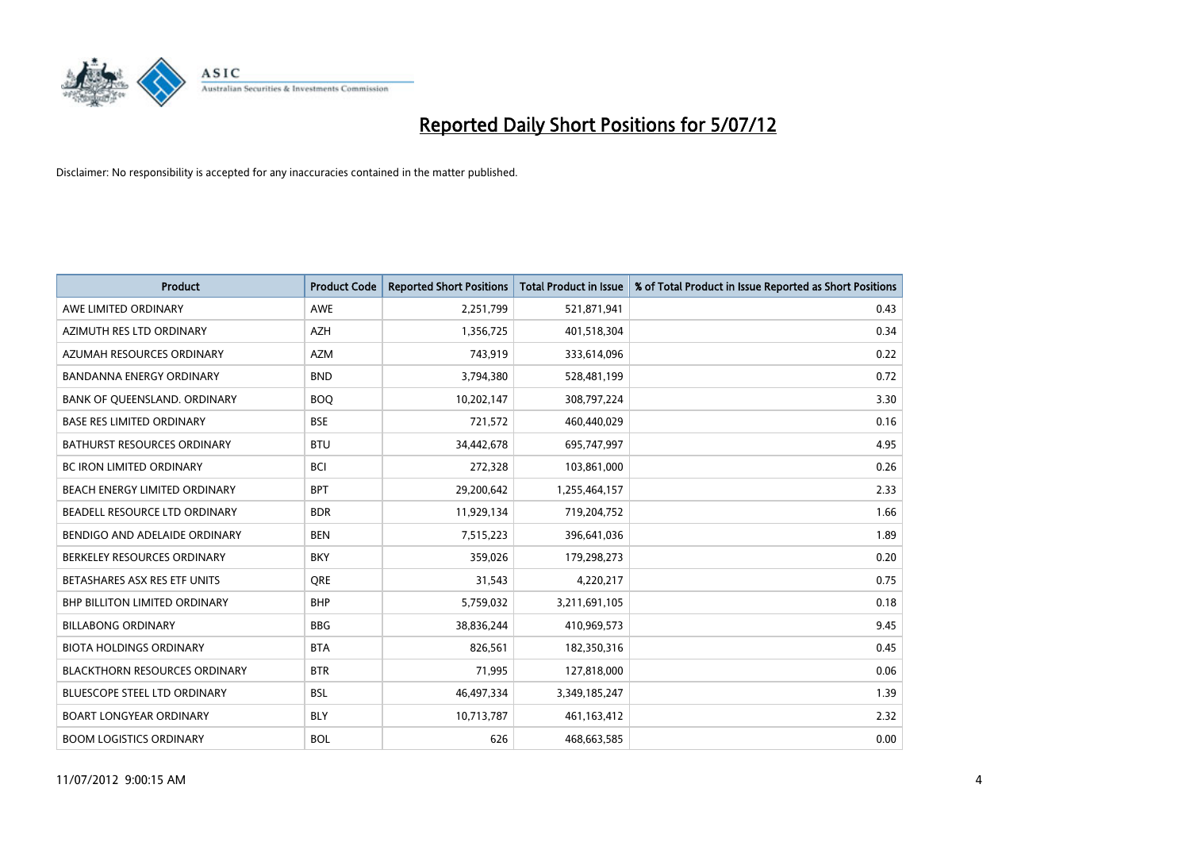

| <b>Product</b>                       | <b>Product Code</b> | <b>Reported Short Positions</b> | <b>Total Product in Issue</b> | % of Total Product in Issue Reported as Short Positions |
|--------------------------------------|---------------------|---------------------------------|-------------------------------|---------------------------------------------------------|
| AWE LIMITED ORDINARY                 | <b>AWE</b>          | 2,251,799                       | 521,871,941                   | 0.43                                                    |
| AZIMUTH RES LTD ORDINARY             | <b>AZH</b>          | 1,356,725                       | 401,518,304                   | 0.34                                                    |
| AZUMAH RESOURCES ORDINARY            | <b>AZM</b>          | 743,919                         | 333,614,096                   | 0.22                                                    |
| <b>BANDANNA ENERGY ORDINARY</b>      | <b>BND</b>          | 3,794,380                       | 528,481,199                   | 0.72                                                    |
| BANK OF QUEENSLAND. ORDINARY         | <b>BOQ</b>          | 10,202,147                      | 308,797,224                   | 3.30                                                    |
| <b>BASE RES LIMITED ORDINARY</b>     | <b>BSE</b>          | 721,572                         | 460,440,029                   | 0.16                                                    |
| <b>BATHURST RESOURCES ORDINARY</b>   | <b>BTU</b>          | 34,442,678                      | 695,747,997                   | 4.95                                                    |
| BC IRON LIMITED ORDINARY             | <b>BCI</b>          | 272,328                         | 103,861,000                   | 0.26                                                    |
| BEACH ENERGY LIMITED ORDINARY        | <b>BPT</b>          | 29,200,642                      | 1,255,464,157                 | 2.33                                                    |
| BEADELL RESOURCE LTD ORDINARY        | <b>BDR</b>          | 11,929,134                      | 719,204,752                   | 1.66                                                    |
| BENDIGO AND ADELAIDE ORDINARY        | <b>BEN</b>          | 7,515,223                       | 396,641,036                   | 1.89                                                    |
| BERKELEY RESOURCES ORDINARY          | <b>BKY</b>          | 359,026                         | 179,298,273                   | 0.20                                                    |
| BETASHARES ASX RES ETF UNITS         | <b>ORE</b>          | 31,543                          | 4,220,217                     | 0.75                                                    |
| <b>BHP BILLITON LIMITED ORDINARY</b> | <b>BHP</b>          | 5,759,032                       | 3,211,691,105                 | 0.18                                                    |
| <b>BILLABONG ORDINARY</b>            | <b>BBG</b>          | 38,836,244                      | 410,969,573                   | 9.45                                                    |
| <b>BIOTA HOLDINGS ORDINARY</b>       | <b>BTA</b>          | 826,561                         | 182,350,316                   | 0.45                                                    |
| <b>BLACKTHORN RESOURCES ORDINARY</b> | <b>BTR</b>          | 71,995                          | 127,818,000                   | 0.06                                                    |
| BLUESCOPE STEEL LTD ORDINARY         | <b>BSL</b>          | 46,497,334                      | 3,349,185,247                 | 1.39                                                    |
| <b>BOART LONGYEAR ORDINARY</b>       | <b>BLY</b>          | 10,713,787                      | 461,163,412                   | 2.32                                                    |
| <b>BOOM LOGISTICS ORDINARY</b>       | <b>BOL</b>          | 626                             | 468,663,585                   | 0.00                                                    |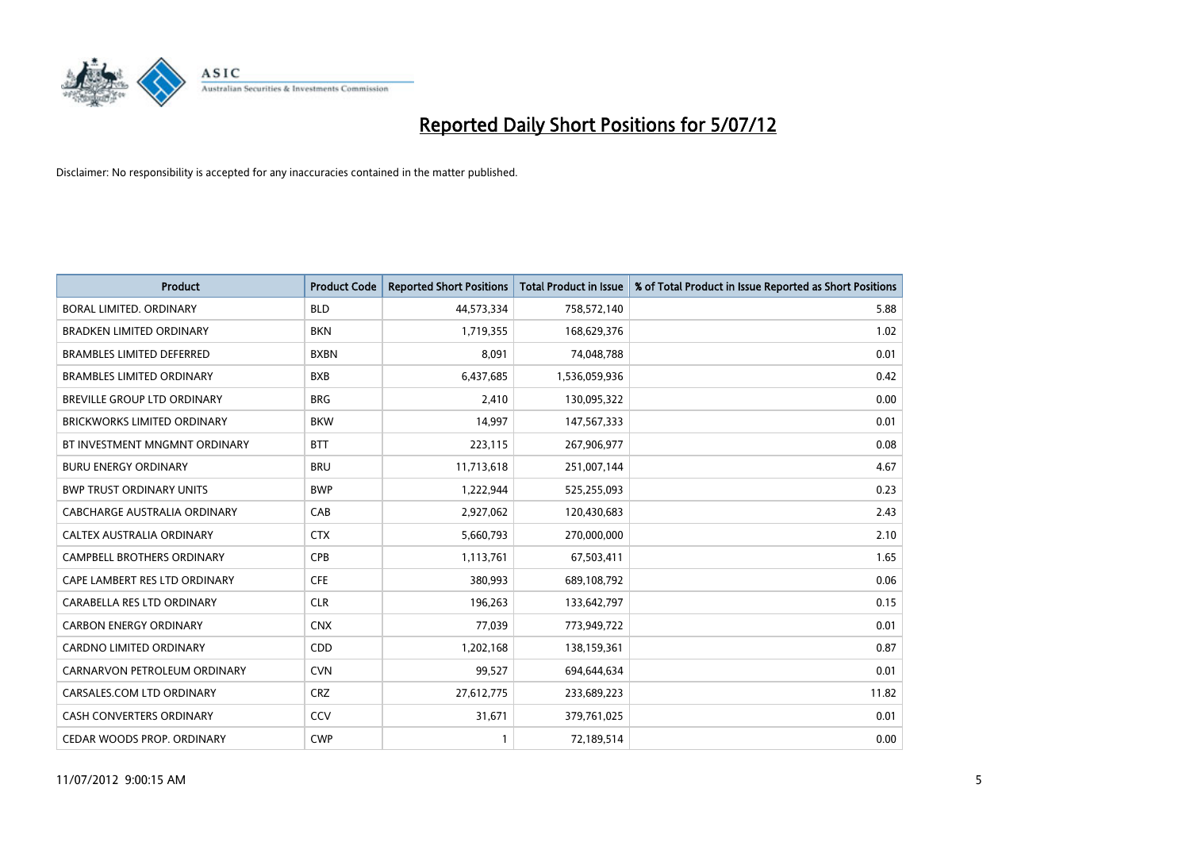

| <b>Product</b>                     | <b>Product Code</b> | <b>Reported Short Positions</b> | <b>Total Product in Issue</b> | % of Total Product in Issue Reported as Short Positions |
|------------------------------------|---------------------|---------------------------------|-------------------------------|---------------------------------------------------------|
| <b>BORAL LIMITED, ORDINARY</b>     | <b>BLD</b>          | 44,573,334                      | 758,572,140                   | 5.88                                                    |
| <b>BRADKEN LIMITED ORDINARY</b>    | <b>BKN</b>          | 1,719,355                       | 168,629,376                   | 1.02                                                    |
| <b>BRAMBLES LIMITED DEFERRED</b>   | <b>BXBN</b>         | 8,091                           | 74,048,788                    | 0.01                                                    |
| <b>BRAMBLES LIMITED ORDINARY</b>   | <b>BXB</b>          | 6,437,685                       | 1,536,059,936                 | 0.42                                                    |
| <b>BREVILLE GROUP LTD ORDINARY</b> | <b>BRG</b>          | 2,410                           | 130,095,322                   | 0.00                                                    |
| <b>BRICKWORKS LIMITED ORDINARY</b> | <b>BKW</b>          | 14,997                          | 147,567,333                   | 0.01                                                    |
| BT INVESTMENT MNGMNT ORDINARY      | <b>BTT</b>          | 223,115                         | 267,906,977                   | 0.08                                                    |
| <b>BURU ENERGY ORDINARY</b>        | <b>BRU</b>          | 11,713,618                      | 251,007,144                   | 4.67                                                    |
| <b>BWP TRUST ORDINARY UNITS</b>    | <b>BWP</b>          | 1,222,944                       | 525,255,093                   | 0.23                                                    |
| CABCHARGE AUSTRALIA ORDINARY       | CAB                 | 2,927,062                       | 120,430,683                   | 2.43                                                    |
| CALTEX AUSTRALIA ORDINARY          | <b>CTX</b>          | 5,660,793                       | 270,000,000                   | 2.10                                                    |
| <b>CAMPBELL BROTHERS ORDINARY</b>  | CPB                 | 1,113,761                       | 67,503,411                    | 1.65                                                    |
| CAPE LAMBERT RES LTD ORDINARY      | <b>CFE</b>          | 380,993                         | 689,108,792                   | 0.06                                                    |
| CARABELLA RES LTD ORDINARY         | <b>CLR</b>          | 196,263                         | 133,642,797                   | 0.15                                                    |
| <b>CARBON ENERGY ORDINARY</b>      | <b>CNX</b>          | 77,039                          | 773,949,722                   | 0.01                                                    |
| CARDNO LIMITED ORDINARY            | CDD                 | 1,202,168                       | 138,159,361                   | 0.87                                                    |
| CARNARVON PETROLEUM ORDINARY       | <b>CVN</b>          | 99,527                          | 694,644,634                   | 0.01                                                    |
| CARSALES.COM LTD ORDINARY          | CRZ                 | 27,612,775                      | 233,689,223                   | 11.82                                                   |
| <b>CASH CONVERTERS ORDINARY</b>    | CCV                 | 31,671                          | 379,761,025                   | 0.01                                                    |
| CEDAR WOODS PROP. ORDINARY         | <b>CWP</b>          |                                 | 72,189,514                    | 0.00                                                    |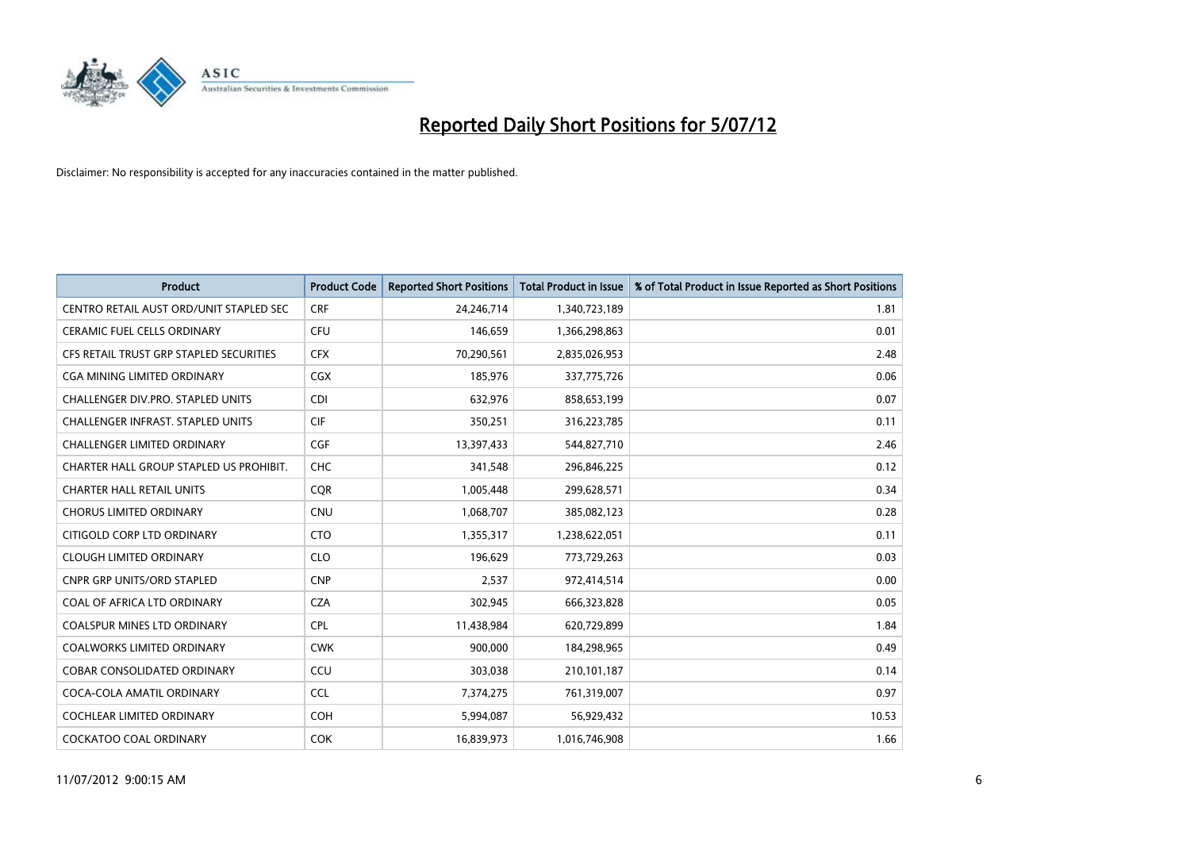

| <b>Product</b>                           | <b>Product Code</b> | <b>Reported Short Positions</b> | <b>Total Product in Issue</b> | % of Total Product in Issue Reported as Short Positions |
|------------------------------------------|---------------------|---------------------------------|-------------------------------|---------------------------------------------------------|
| CENTRO RETAIL AUST ORD/UNIT STAPLED SEC  | <b>CRF</b>          | 24,246,714                      | 1,340,723,189                 | 1.81                                                    |
| <b>CERAMIC FUEL CELLS ORDINARY</b>       | <b>CFU</b>          | 146.659                         | 1,366,298,863                 | 0.01                                                    |
| CFS RETAIL TRUST GRP STAPLED SECURITIES  | <b>CFX</b>          | 70,290,561                      | 2,835,026,953                 | 2.48                                                    |
| CGA MINING LIMITED ORDINARY              | <b>CGX</b>          | 185,976                         | 337,775,726                   | 0.06                                                    |
| CHALLENGER DIV.PRO. STAPLED UNITS        | CDI                 | 632,976                         | 858,653,199                   | 0.07                                                    |
| <b>CHALLENGER INFRAST, STAPLED UNITS</b> | <b>CIF</b>          | 350,251                         | 316,223,785                   | 0.11                                                    |
| <b>CHALLENGER LIMITED ORDINARY</b>       | <b>CGF</b>          | 13,397,433                      | 544,827,710                   | 2.46                                                    |
| CHARTER HALL GROUP STAPLED US PROHIBIT.  | <b>CHC</b>          | 341,548                         | 296,846,225                   | 0.12                                                    |
| <b>CHARTER HALL RETAIL UNITS</b>         | <b>CQR</b>          | 1,005,448                       | 299,628,571                   | 0.34                                                    |
| <b>CHORUS LIMITED ORDINARY</b>           | <b>CNU</b>          | 1,068,707                       | 385,082,123                   | 0.28                                                    |
| CITIGOLD CORP LTD ORDINARY               | <b>CTO</b>          | 1,355,317                       | 1,238,622,051                 | 0.11                                                    |
| <b>CLOUGH LIMITED ORDINARY</b>           | <b>CLO</b>          | 196,629                         | 773,729,263                   | 0.03                                                    |
| <b>CNPR GRP UNITS/ORD STAPLED</b>        | <b>CNP</b>          | 2.537                           | 972,414,514                   | 0.00                                                    |
| COAL OF AFRICA LTD ORDINARY              | <b>CZA</b>          | 302,945                         | 666,323,828                   | 0.05                                                    |
| <b>COALSPUR MINES LTD ORDINARY</b>       | <b>CPL</b>          | 11,438,984                      | 620,729,899                   | 1.84                                                    |
| <b>COALWORKS LIMITED ORDINARY</b>        | <b>CWK</b>          | 900,000                         | 184,298,965                   | 0.49                                                    |
| <b>COBAR CONSOLIDATED ORDINARY</b>       | CCU                 | 303,038                         | 210,101,187                   | 0.14                                                    |
| COCA-COLA AMATIL ORDINARY                | <b>CCL</b>          | 7,374,275                       | 761,319,007                   | 0.97                                                    |
| <b>COCHLEAR LIMITED ORDINARY</b>         | <b>COH</b>          | 5,994,087                       | 56,929,432                    | 10.53                                                   |
| <b>COCKATOO COAL ORDINARY</b>            | <b>COK</b>          | 16.839.973                      | 1,016,746,908                 | 1.66                                                    |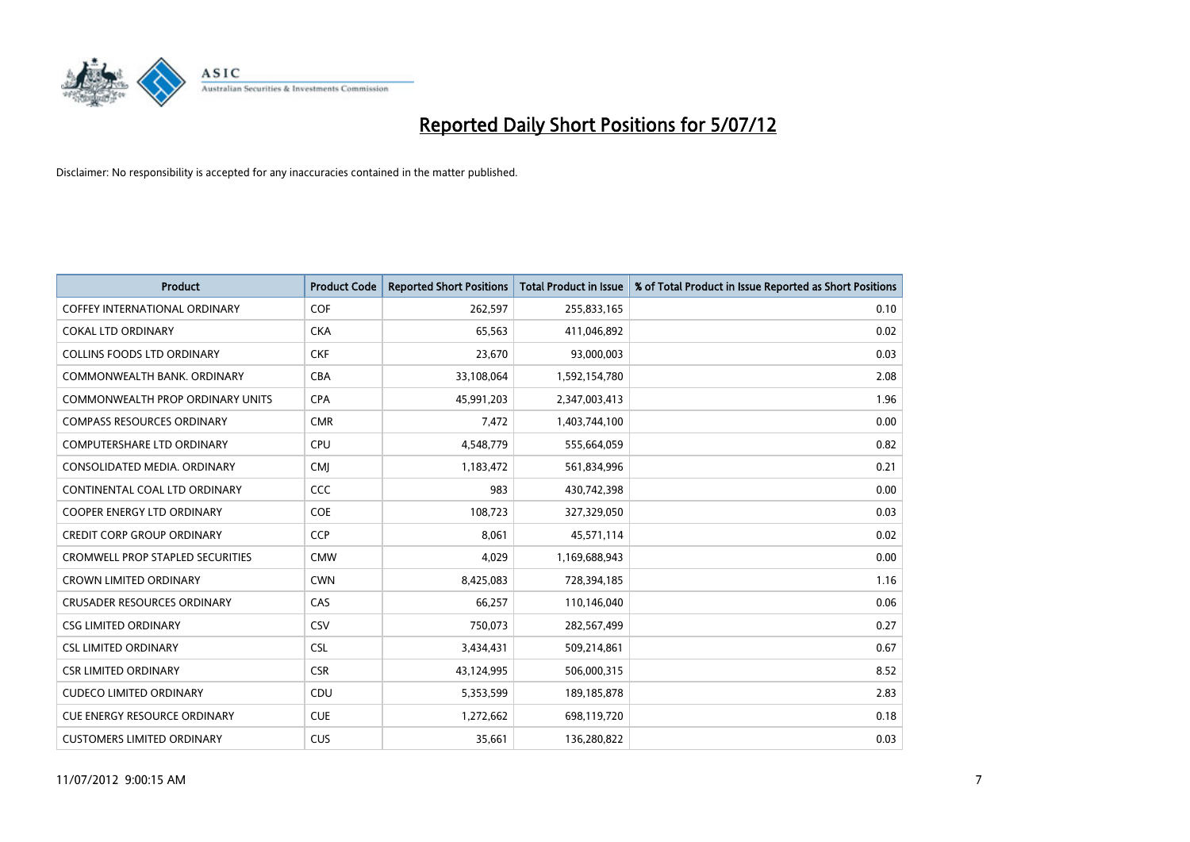

| <b>Product</b>                          | <b>Product Code</b> | <b>Reported Short Positions</b> | <b>Total Product in Issue</b> | % of Total Product in Issue Reported as Short Positions |
|-----------------------------------------|---------------------|---------------------------------|-------------------------------|---------------------------------------------------------|
| <b>COFFEY INTERNATIONAL ORDINARY</b>    | <b>COF</b>          | 262,597                         | 255,833,165                   | 0.10                                                    |
| <b>COKAL LTD ORDINARY</b>               | <b>CKA</b>          | 65,563                          | 411,046,892                   | 0.02                                                    |
| <b>COLLINS FOODS LTD ORDINARY</b>       | <b>CKF</b>          | 23,670                          | 93,000,003                    | 0.03                                                    |
| COMMONWEALTH BANK, ORDINARY             | <b>CBA</b>          | 33,108,064                      | 1,592,154,780                 | 2.08                                                    |
| <b>COMMONWEALTH PROP ORDINARY UNITS</b> | <b>CPA</b>          | 45,991,203                      | 2,347,003,413                 | 1.96                                                    |
| <b>COMPASS RESOURCES ORDINARY</b>       | <b>CMR</b>          | 7,472                           | 1,403,744,100                 | 0.00                                                    |
| <b>COMPUTERSHARE LTD ORDINARY</b>       | <b>CPU</b>          | 4,548,779                       | 555,664,059                   | 0.82                                                    |
| CONSOLIDATED MEDIA, ORDINARY            | <b>CMI</b>          | 1,183,472                       | 561,834,996                   | 0.21                                                    |
| CONTINENTAL COAL LTD ORDINARY           | CCC                 | 983                             | 430,742,398                   | 0.00                                                    |
| <b>COOPER ENERGY LTD ORDINARY</b>       | <b>COE</b>          | 108,723                         | 327,329,050                   | 0.03                                                    |
| <b>CREDIT CORP GROUP ORDINARY</b>       | <b>CCP</b>          | 8,061                           | 45,571,114                    | 0.02                                                    |
| <b>CROMWELL PROP STAPLED SECURITIES</b> | <b>CMW</b>          | 4,029                           | 1,169,688,943                 | 0.00                                                    |
| <b>CROWN LIMITED ORDINARY</b>           | <b>CWN</b>          | 8,425,083                       | 728,394,185                   | 1.16                                                    |
| <b>CRUSADER RESOURCES ORDINARY</b>      | CAS                 | 66.257                          | 110,146,040                   | 0.06                                                    |
| <b>CSG LIMITED ORDINARY</b>             | CSV                 | 750,073                         | 282,567,499                   | 0.27                                                    |
| <b>CSL LIMITED ORDINARY</b>             | <b>CSL</b>          | 3,434,431                       | 509,214,861                   | 0.67                                                    |
| <b>CSR LIMITED ORDINARY</b>             | <b>CSR</b>          | 43,124,995                      | 506,000,315                   | 8.52                                                    |
| <b>CUDECO LIMITED ORDINARY</b>          | CDU                 | 5,353,599                       | 189, 185, 878                 | 2.83                                                    |
| <b>CUE ENERGY RESOURCE ORDINARY</b>     | <b>CUE</b>          | 1,272,662                       | 698,119,720                   | 0.18                                                    |
| <b>CUSTOMERS LIMITED ORDINARY</b>       | CUS                 | 35,661                          | 136,280,822                   | 0.03                                                    |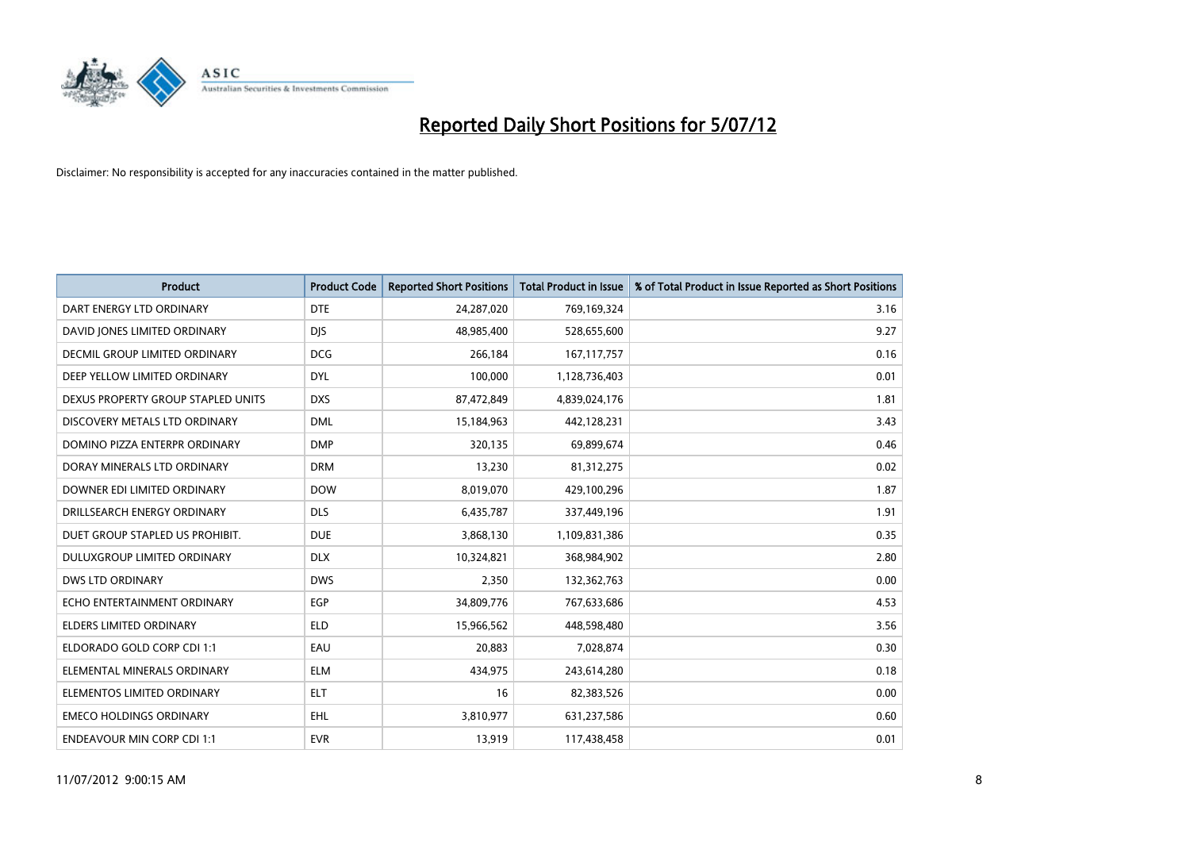

| <b>Product</b>                       | <b>Product Code</b> | <b>Reported Short Positions</b> | <b>Total Product in Issue</b> | % of Total Product in Issue Reported as Short Positions |
|--------------------------------------|---------------------|---------------------------------|-------------------------------|---------------------------------------------------------|
| DART ENERGY LTD ORDINARY             | <b>DTE</b>          | 24,287,020                      | 769,169,324                   | 3.16                                                    |
| DAVID JONES LIMITED ORDINARY         | <b>DIS</b>          | 48,985,400                      | 528,655,600                   | 9.27                                                    |
| <b>DECMIL GROUP LIMITED ORDINARY</b> | <b>DCG</b>          | 266,184                         | 167, 117, 757                 | 0.16                                                    |
| DEEP YELLOW LIMITED ORDINARY         | <b>DYL</b>          | 100,000                         | 1,128,736,403                 | 0.01                                                    |
| DEXUS PROPERTY GROUP STAPLED UNITS   | <b>DXS</b>          | 87,472,849                      | 4,839,024,176                 | 1.81                                                    |
| DISCOVERY METALS LTD ORDINARY        | <b>DML</b>          | 15,184,963                      | 442,128,231                   | 3.43                                                    |
| DOMINO PIZZA ENTERPR ORDINARY        | <b>DMP</b>          | 320,135                         | 69,899,674                    | 0.46                                                    |
| DORAY MINERALS LTD ORDINARY          | <b>DRM</b>          | 13,230                          | 81,312,275                    | 0.02                                                    |
| DOWNER EDI LIMITED ORDINARY          | <b>DOW</b>          | 8,019,070                       | 429,100,296                   | 1.87                                                    |
| DRILLSEARCH ENERGY ORDINARY          | <b>DLS</b>          | 6,435,787                       | 337,449,196                   | 1.91                                                    |
| DUET GROUP STAPLED US PROHIBIT.      | <b>DUE</b>          | 3,868,130                       | 1,109,831,386                 | 0.35                                                    |
| <b>DULUXGROUP LIMITED ORDINARY</b>   | <b>DLX</b>          | 10,324,821                      | 368,984,902                   | 2.80                                                    |
| <b>DWS LTD ORDINARY</b>              | <b>DWS</b>          | 2,350                           | 132,362,763                   | 0.00                                                    |
| ECHO ENTERTAINMENT ORDINARY          | <b>EGP</b>          | 34,809,776                      | 767,633,686                   | 4.53                                                    |
| <b>ELDERS LIMITED ORDINARY</b>       | <b>ELD</b>          | 15,966,562                      | 448,598,480                   | 3.56                                                    |
| ELDORADO GOLD CORP CDI 1:1           | EAU                 | 20,883                          | 7,028,874                     | 0.30                                                    |
| ELEMENTAL MINERALS ORDINARY          | <b>ELM</b>          | 434,975                         | 243,614,280                   | 0.18                                                    |
| ELEMENTOS LIMITED ORDINARY           | <b>ELT</b>          | 16                              | 82,383,526                    | 0.00                                                    |
| <b>EMECO HOLDINGS ORDINARY</b>       | <b>EHL</b>          | 3,810,977                       | 631,237,586                   | 0.60                                                    |
| <b>ENDEAVOUR MIN CORP CDI 1:1</b>    | <b>EVR</b>          | 13,919                          | 117,438,458                   | 0.01                                                    |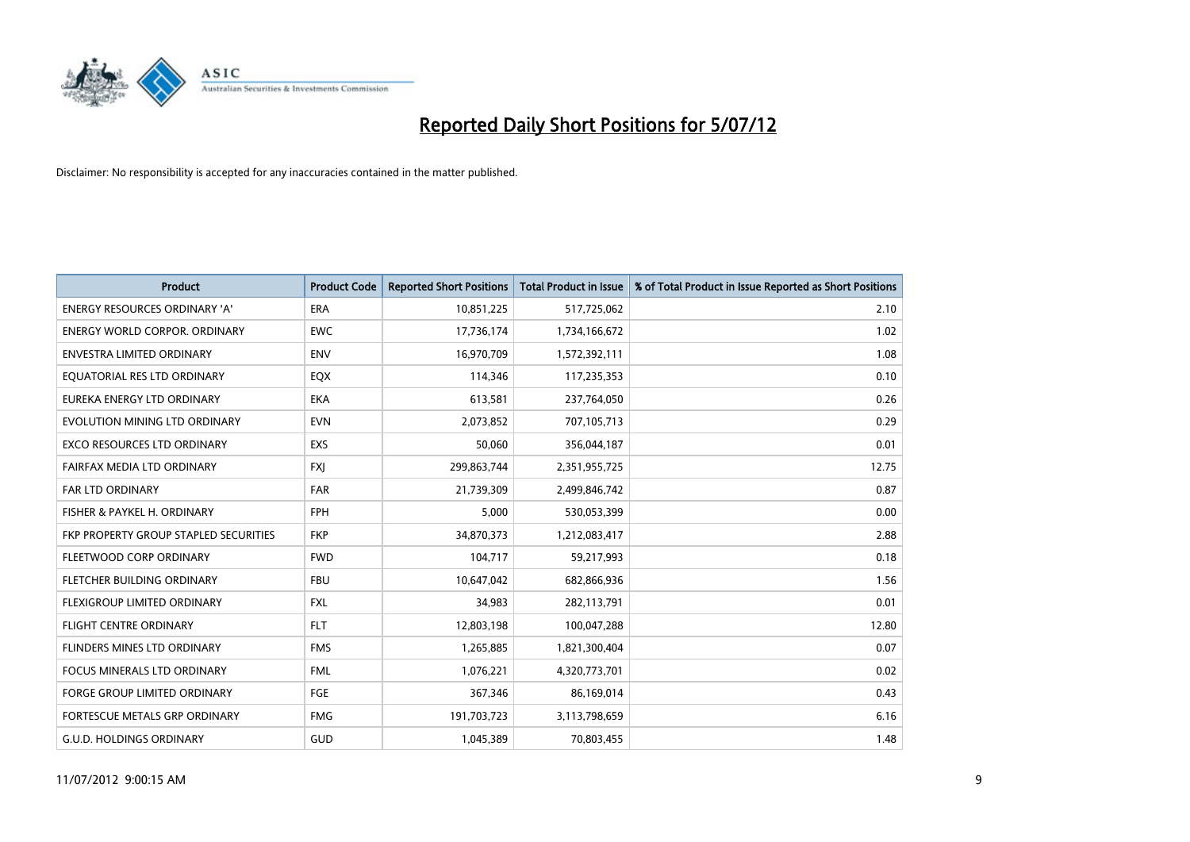

| <b>Product</b>                               | <b>Product Code</b> | <b>Reported Short Positions</b> | <b>Total Product in Issue</b> | % of Total Product in Issue Reported as Short Positions |
|----------------------------------------------|---------------------|---------------------------------|-------------------------------|---------------------------------------------------------|
| <b>ENERGY RESOURCES ORDINARY 'A'</b>         | <b>ERA</b>          | 10,851,225                      | 517,725,062                   | 2.10                                                    |
| ENERGY WORLD CORPOR. ORDINARY                | <b>EWC</b>          | 17,736,174                      | 1,734,166,672                 | 1.02                                                    |
| ENVESTRA LIMITED ORDINARY                    | <b>ENV</b>          | 16,970,709                      | 1,572,392,111                 | 1.08                                                    |
| EQUATORIAL RES LTD ORDINARY                  | EQX                 | 114,346                         | 117,235,353                   | 0.10                                                    |
| EUREKA ENERGY LTD ORDINARY                   | <b>EKA</b>          | 613,581                         | 237,764,050                   | 0.26                                                    |
| EVOLUTION MINING LTD ORDINARY                | <b>EVN</b>          | 2,073,852                       | 707,105,713                   | 0.29                                                    |
| EXCO RESOURCES LTD ORDINARY                  | <b>EXS</b>          | 50,060                          | 356,044,187                   | 0.01                                                    |
| FAIRFAX MEDIA LTD ORDINARY                   | <b>FXJ</b>          | 299,863,744                     | 2,351,955,725                 | 12.75                                                   |
| FAR LTD ORDINARY                             | <b>FAR</b>          | 21,739,309                      | 2,499,846,742                 | 0.87                                                    |
| FISHER & PAYKEL H. ORDINARY                  | <b>FPH</b>          | 5,000                           | 530,053,399                   | 0.00                                                    |
| <b>FKP PROPERTY GROUP STAPLED SECURITIES</b> | <b>FKP</b>          | 34,870,373                      | 1,212,083,417                 | 2.88                                                    |
| FLEETWOOD CORP ORDINARY                      | <b>FWD</b>          | 104,717                         | 59,217,993                    | 0.18                                                    |
| FLETCHER BUILDING ORDINARY                   | <b>FBU</b>          | 10,647,042                      | 682,866,936                   | 1.56                                                    |
| FLEXIGROUP LIMITED ORDINARY                  | <b>FXL</b>          | 34,983                          | 282,113,791                   | 0.01                                                    |
| <b>FLIGHT CENTRE ORDINARY</b>                | <b>FLT</b>          | 12,803,198                      | 100,047,288                   | 12.80                                                   |
| <b>FLINDERS MINES LTD ORDINARY</b>           | <b>FMS</b>          | 1,265,885                       | 1,821,300,404                 | 0.07                                                    |
| <b>FOCUS MINERALS LTD ORDINARY</b>           | <b>FML</b>          | 1,076,221                       | 4,320,773,701                 | 0.02                                                    |
| FORGE GROUP LIMITED ORDINARY                 | FGE                 | 367,346                         | 86,169,014                    | 0.43                                                    |
| FORTESCUE METALS GRP ORDINARY                | <b>FMG</b>          | 191,703,723                     | 3,113,798,659                 | 6.16                                                    |
| G.U.D. HOLDINGS ORDINARY                     | GUD                 | 1,045,389                       | 70,803,455                    | 1.48                                                    |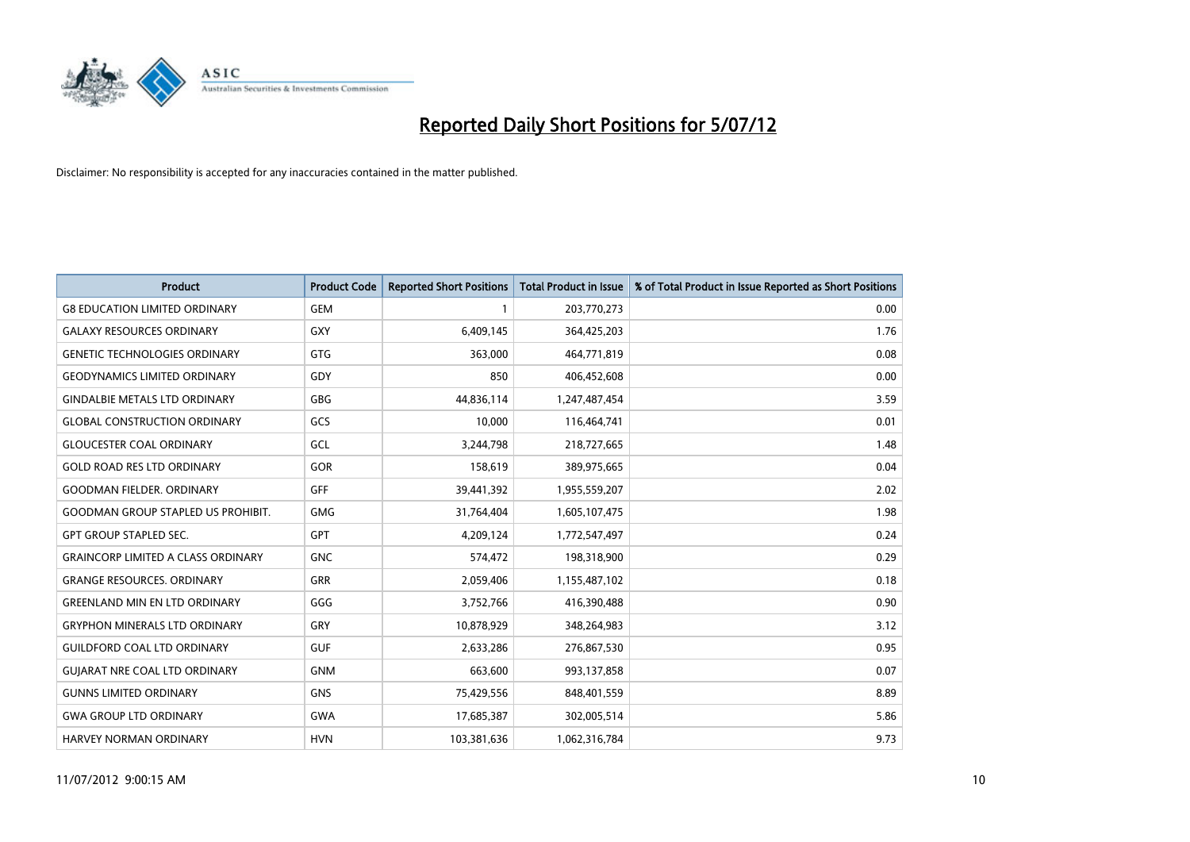

| <b>Product</b>                            | <b>Product Code</b> | <b>Reported Short Positions</b> | <b>Total Product in Issue</b> | % of Total Product in Issue Reported as Short Positions |
|-------------------------------------------|---------------------|---------------------------------|-------------------------------|---------------------------------------------------------|
| <b>G8 EDUCATION LIMITED ORDINARY</b>      | <b>GEM</b>          |                                 | 203,770,273                   | 0.00                                                    |
| <b>GALAXY RESOURCES ORDINARY</b>          | <b>GXY</b>          | 6,409,145                       | 364,425,203                   | 1.76                                                    |
| <b>GENETIC TECHNOLOGIES ORDINARY</b>      | <b>GTG</b>          | 363,000                         | 464,771,819                   | 0.08                                                    |
| <b>GEODYNAMICS LIMITED ORDINARY</b>       | GDY                 | 850                             | 406,452,608                   | 0.00                                                    |
| <b>GINDALBIE METALS LTD ORDINARY</b>      | GBG                 | 44,836,114                      | 1,247,487,454                 | 3.59                                                    |
| <b>GLOBAL CONSTRUCTION ORDINARY</b>       | GCS                 | 10,000                          | 116,464,741                   | 0.01                                                    |
| <b>GLOUCESTER COAL ORDINARY</b>           | GCL                 | 3,244,798                       | 218,727,665                   | 1.48                                                    |
| <b>GOLD ROAD RES LTD ORDINARY</b>         | GOR                 | 158,619                         | 389,975,665                   | 0.04                                                    |
| <b>GOODMAN FIELDER. ORDINARY</b>          | GFF                 | 39,441,392                      | 1,955,559,207                 | 2.02                                                    |
| <b>GOODMAN GROUP STAPLED US PROHIBIT.</b> | <b>GMG</b>          | 31,764,404                      | 1,605,107,475                 | 1.98                                                    |
| <b>GPT GROUP STAPLED SEC.</b>             | <b>GPT</b>          | 4,209,124                       | 1,772,547,497                 | 0.24                                                    |
| <b>GRAINCORP LIMITED A CLASS ORDINARY</b> | <b>GNC</b>          | 574,472                         | 198,318,900                   | 0.29                                                    |
| <b>GRANGE RESOURCES. ORDINARY</b>         | <b>GRR</b>          | 2,059,406                       | 1,155,487,102                 | 0.18                                                    |
| <b>GREENLAND MIN EN LTD ORDINARY</b>      | GGG                 | 3,752,766                       | 416,390,488                   | 0.90                                                    |
| <b>GRYPHON MINERALS LTD ORDINARY</b>      | GRY                 | 10,878,929                      | 348,264,983                   | 3.12                                                    |
| <b>GUILDFORD COAL LTD ORDINARY</b>        | <b>GUF</b>          | 2,633,286                       | 276,867,530                   | 0.95                                                    |
| <b>GUIARAT NRE COAL LTD ORDINARY</b>      | <b>GNM</b>          | 663,600                         | 993,137,858                   | 0.07                                                    |
| <b>GUNNS LIMITED ORDINARY</b>             | <b>GNS</b>          | 75,429,556                      | 848,401,559                   | 8.89                                                    |
| <b>GWA GROUP LTD ORDINARY</b>             | <b>GWA</b>          | 17,685,387                      | 302,005,514                   | 5.86                                                    |
| HARVEY NORMAN ORDINARY                    | <b>HVN</b>          | 103,381,636                     | 1,062,316,784                 | 9.73                                                    |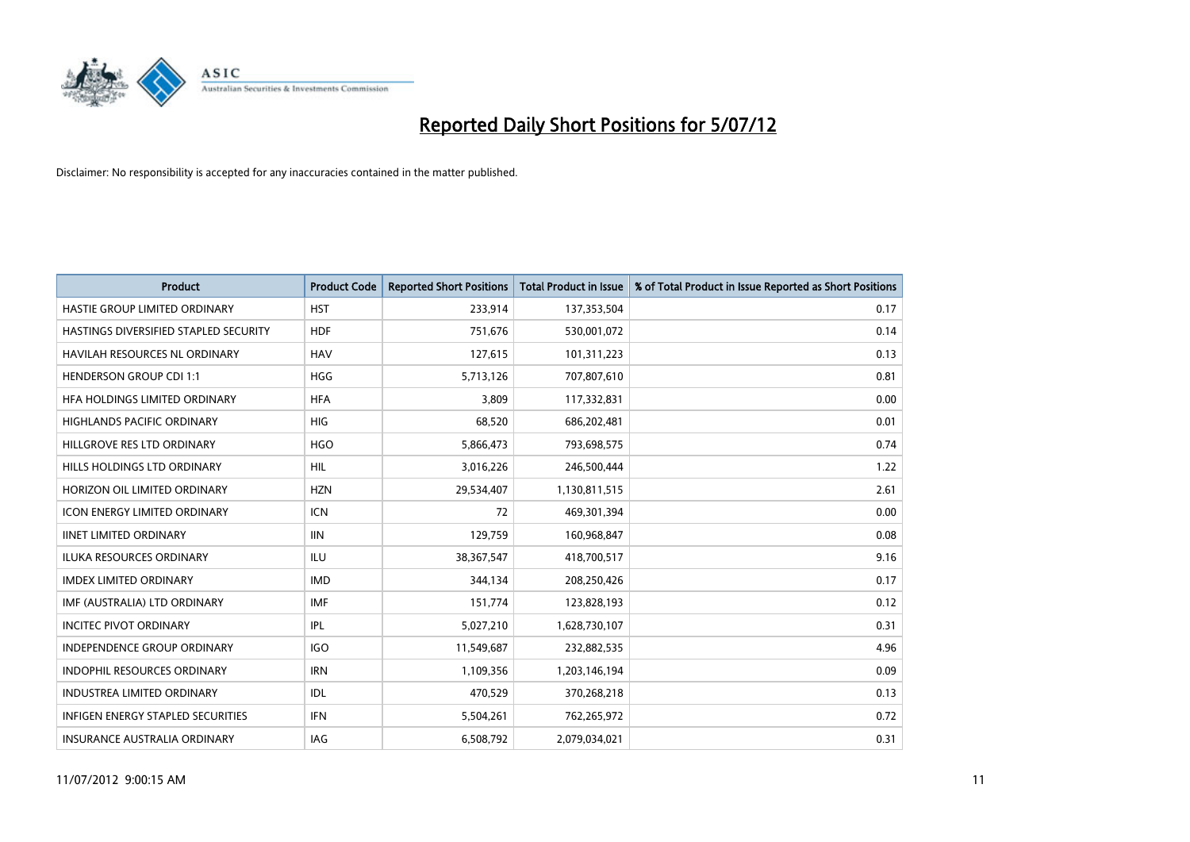

| <b>Product</b>                           | <b>Product Code</b> | <b>Reported Short Positions</b> | <b>Total Product in Issue</b> | % of Total Product in Issue Reported as Short Positions |
|------------------------------------------|---------------------|---------------------------------|-------------------------------|---------------------------------------------------------|
| HASTIE GROUP LIMITED ORDINARY            | <b>HST</b>          | 233,914                         | 137,353,504                   | 0.17                                                    |
| HASTINGS DIVERSIFIED STAPLED SECURITY    | <b>HDF</b>          | 751,676                         | 530,001,072                   | 0.14                                                    |
| <b>HAVILAH RESOURCES NL ORDINARY</b>     | <b>HAV</b>          | 127,615                         | 101,311,223                   | 0.13                                                    |
| <b>HENDERSON GROUP CDI 1:1</b>           | <b>HGG</b>          | 5,713,126                       | 707,807,610                   | 0.81                                                    |
| HFA HOLDINGS LIMITED ORDINARY            | <b>HFA</b>          | 3.809                           | 117,332,831                   | 0.00                                                    |
| <b>HIGHLANDS PACIFIC ORDINARY</b>        | <b>HIG</b>          | 68,520                          | 686,202,481                   | 0.01                                                    |
| HILLGROVE RES LTD ORDINARY               | <b>HGO</b>          | 5,866,473                       | 793,698,575                   | 0.74                                                    |
| HILLS HOLDINGS LTD ORDINARY              | <b>HIL</b>          | 3,016,226                       | 246,500,444                   | 1.22                                                    |
| HORIZON OIL LIMITED ORDINARY             | <b>HZN</b>          | 29,534,407                      | 1,130,811,515                 | 2.61                                                    |
| <b>ICON ENERGY LIMITED ORDINARY</b>      | <b>ICN</b>          | 72                              | 469,301,394                   | 0.00                                                    |
| <b>IINET LIMITED ORDINARY</b>            | <b>IIN</b>          | 129,759                         | 160,968,847                   | 0.08                                                    |
| <b>ILUKA RESOURCES ORDINARY</b>          | ILU                 | 38,367,547                      | 418,700,517                   | 9.16                                                    |
| <b>IMDEX LIMITED ORDINARY</b>            | <b>IMD</b>          | 344,134                         | 208,250,426                   | 0.17                                                    |
| IMF (AUSTRALIA) LTD ORDINARY             | <b>IMF</b>          | 151,774                         | 123,828,193                   | 0.12                                                    |
| <b>INCITEC PIVOT ORDINARY</b>            | IPL                 | 5,027,210                       | 1,628,730,107                 | 0.31                                                    |
| INDEPENDENCE GROUP ORDINARY              | <b>IGO</b>          | 11,549,687                      | 232,882,535                   | 4.96                                                    |
| <b>INDOPHIL RESOURCES ORDINARY</b>       | <b>IRN</b>          | 1,109,356                       | 1,203,146,194                 | 0.09                                                    |
| <b>INDUSTREA LIMITED ORDINARY</b>        | <b>IDL</b>          | 470,529                         | 370,268,218                   | 0.13                                                    |
| <b>INFIGEN ENERGY STAPLED SECURITIES</b> | <b>IFN</b>          | 5,504,261                       | 762,265,972                   | 0.72                                                    |
| <b>INSURANCE AUSTRALIA ORDINARY</b>      | IAG                 | 6,508,792                       | 2.079.034.021                 | 0.31                                                    |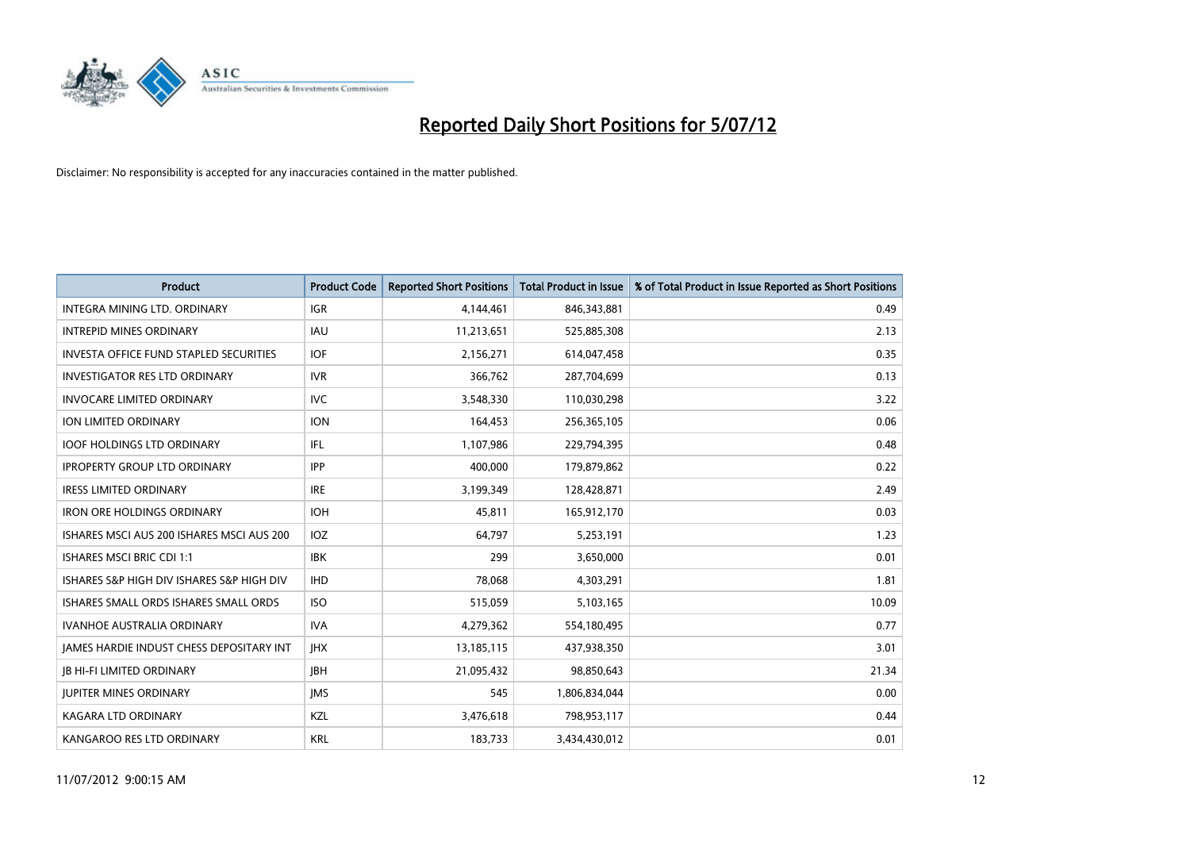

| <b>Product</b>                                  | <b>Product Code</b> | <b>Reported Short Positions</b> | <b>Total Product in Issue</b> | % of Total Product in Issue Reported as Short Positions |
|-------------------------------------------------|---------------------|---------------------------------|-------------------------------|---------------------------------------------------------|
| <b>INTEGRA MINING LTD, ORDINARY</b>             | <b>IGR</b>          | 4,144,461                       | 846,343,881                   | 0.49                                                    |
| <b>INTREPID MINES ORDINARY</b>                  | <b>IAU</b>          | 11,213,651                      | 525,885,308                   | 2.13                                                    |
| <b>INVESTA OFFICE FUND STAPLED SECURITIES</b>   | <b>IOF</b>          | 2,156,271                       | 614,047,458                   | 0.35                                                    |
| <b>INVESTIGATOR RES LTD ORDINARY</b>            | <b>IVR</b>          | 366,762                         | 287,704,699                   | 0.13                                                    |
| <b>INVOCARE LIMITED ORDINARY</b>                | <b>IVC</b>          | 3,548,330                       | 110,030,298                   | 3.22                                                    |
| ION LIMITED ORDINARY                            | <b>ION</b>          | 164,453                         | 256,365,105                   | 0.06                                                    |
| <b>IOOF HOLDINGS LTD ORDINARY</b>               | IFL                 | 1,107,986                       | 229,794,395                   | 0.48                                                    |
| <b>IPROPERTY GROUP LTD ORDINARY</b>             | <b>IPP</b>          | 400,000                         | 179,879,862                   | 0.22                                                    |
| <b>IRESS LIMITED ORDINARY</b>                   | <b>IRE</b>          | 3,199,349                       | 128,428,871                   | 2.49                                                    |
| <b>IRON ORE HOLDINGS ORDINARY</b>               | <b>IOH</b>          | 45,811                          | 165,912,170                   | 0.03                                                    |
| ISHARES MSCI AUS 200 ISHARES MSCI AUS 200       | <b>IOZ</b>          | 64,797                          | 5,253,191                     | 1.23                                                    |
| <b>ISHARES MSCI BRIC CDI 1:1</b>                | <b>IBK</b>          | 299                             | 3,650,000                     | 0.01                                                    |
| ISHARES S&P HIGH DIV ISHARES S&P HIGH DIV       | <b>IHD</b>          | 78,068                          | 4,303,291                     | 1.81                                                    |
| ISHARES SMALL ORDS ISHARES SMALL ORDS           | <b>ISO</b>          | 515,059                         | 5,103,165                     | 10.09                                                   |
| <b>IVANHOE AUSTRALIA ORDINARY</b>               | <b>IVA</b>          | 4,279,362                       | 554,180,495                   | 0.77                                                    |
| <b>JAMES HARDIE INDUST CHESS DEPOSITARY INT</b> | <b>IHX</b>          | 13,185,115                      | 437,938,350                   | 3.01                                                    |
| <b>JB HI-FI LIMITED ORDINARY</b>                | <b>IBH</b>          | 21,095,432                      | 98,850,643                    | 21.34                                                   |
| <b>JUPITER MINES ORDINARY</b>                   | <b>IMS</b>          | 545                             | 1,806,834,044                 | 0.00                                                    |
| <b>KAGARA LTD ORDINARY</b>                      | <b>KZL</b>          | 3,476,618                       | 798,953,117                   | 0.44                                                    |
| KANGAROO RES LTD ORDINARY                       | <b>KRL</b>          | 183,733                         | 3,434,430,012                 | 0.01                                                    |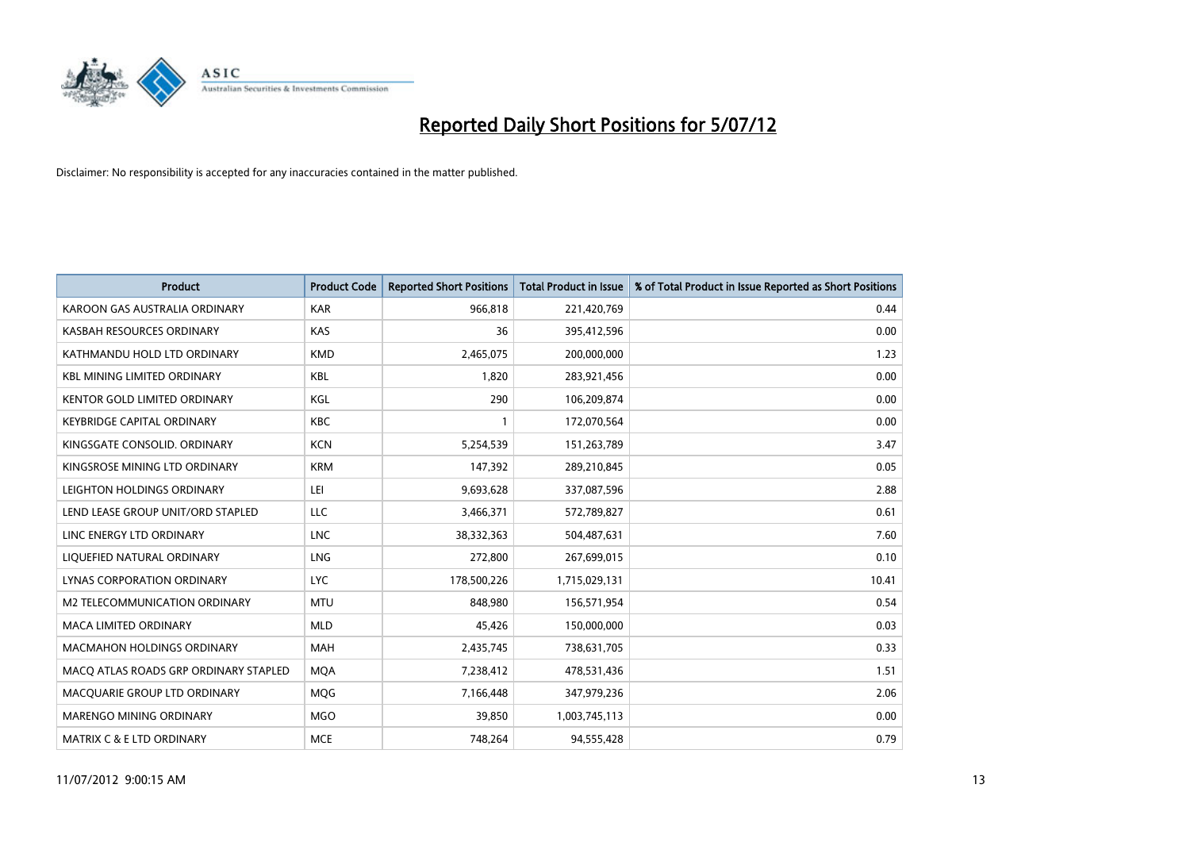

| <b>Product</b>                        | <b>Product Code</b> | <b>Reported Short Positions</b> | <b>Total Product in Issue</b> | % of Total Product in Issue Reported as Short Positions |
|---------------------------------------|---------------------|---------------------------------|-------------------------------|---------------------------------------------------------|
| KAROON GAS AUSTRALIA ORDINARY         | <b>KAR</b>          | 966,818                         | 221,420,769                   | 0.44                                                    |
| KASBAH RESOURCES ORDINARY             | <b>KAS</b>          | 36                              | 395,412,596                   | 0.00                                                    |
| KATHMANDU HOLD LTD ORDINARY           | <b>KMD</b>          | 2,465,075                       | 200,000,000                   | 1.23                                                    |
| <b>KBL MINING LIMITED ORDINARY</b>    | <b>KBL</b>          | 1,820                           | 283,921,456                   | 0.00                                                    |
| <b>KENTOR GOLD LIMITED ORDINARY</b>   | KGL                 | 290                             | 106,209,874                   | 0.00                                                    |
| <b>KEYBRIDGE CAPITAL ORDINARY</b>     | <b>KBC</b>          |                                 | 172,070,564                   | 0.00                                                    |
| KINGSGATE CONSOLID. ORDINARY          | <b>KCN</b>          | 5,254,539                       | 151,263,789                   | 3.47                                                    |
| KINGSROSE MINING LTD ORDINARY         | <b>KRM</b>          | 147,392                         | 289,210,845                   | 0.05                                                    |
| LEIGHTON HOLDINGS ORDINARY            | LEI                 | 9,693,628                       | 337,087,596                   | 2.88                                                    |
| LEND LEASE GROUP UNIT/ORD STAPLED     | <b>LLC</b>          | 3,466,371                       | 572,789,827                   | 0.61                                                    |
| LINC ENERGY LTD ORDINARY              | <b>LNC</b>          | 38,332,363                      | 504,487,631                   | 7.60                                                    |
| LIQUEFIED NATURAL ORDINARY            | <b>LNG</b>          | 272,800                         | 267,699,015                   | 0.10                                                    |
| LYNAS CORPORATION ORDINARY            | <b>LYC</b>          | 178,500,226                     | 1,715,029,131                 | 10.41                                                   |
| M2 TELECOMMUNICATION ORDINARY         | <b>MTU</b>          | 848,980                         | 156,571,954                   | 0.54                                                    |
| <b>MACA LIMITED ORDINARY</b>          | <b>MLD</b>          | 45,426                          | 150,000,000                   | 0.03                                                    |
| MACMAHON HOLDINGS ORDINARY            | <b>MAH</b>          | 2,435,745                       | 738,631,705                   | 0.33                                                    |
| MACQ ATLAS ROADS GRP ORDINARY STAPLED | <b>MQA</b>          | 7,238,412                       | 478,531,436                   | 1.51                                                    |
| MACQUARIE GROUP LTD ORDINARY          | <b>MQG</b>          | 7,166,448                       | 347,979,236                   | 2.06                                                    |
| <b>MARENGO MINING ORDINARY</b>        | <b>MGO</b>          | 39,850                          | 1,003,745,113                 | 0.00                                                    |
| <b>MATRIX C &amp; E LTD ORDINARY</b>  | <b>MCE</b>          | 748.264                         | 94.555.428                    | 0.79                                                    |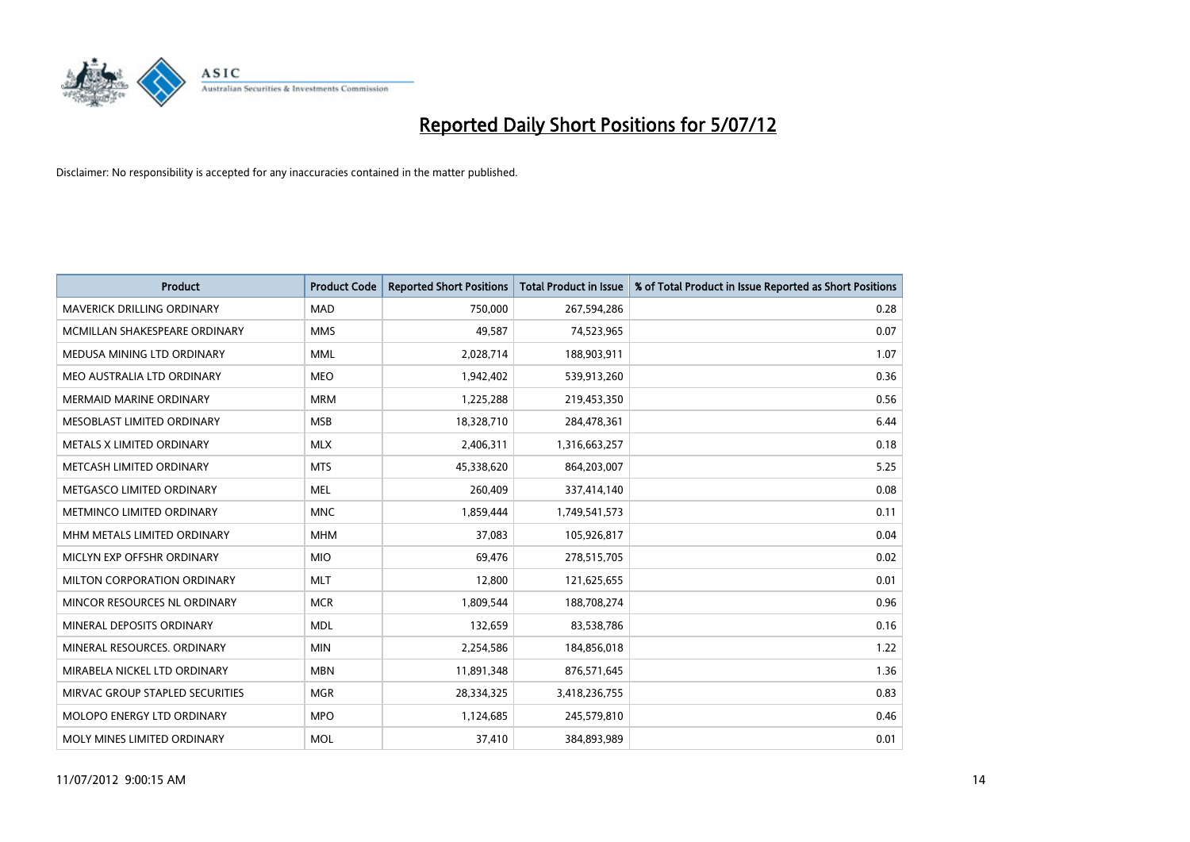

| <b>Product</b>                  | <b>Product Code</b> | <b>Reported Short Positions</b> | <b>Total Product in Issue</b> | % of Total Product in Issue Reported as Short Positions |
|---------------------------------|---------------------|---------------------------------|-------------------------------|---------------------------------------------------------|
| MAVERICK DRILLING ORDINARY      | <b>MAD</b>          | 750,000                         | 267,594,286                   | 0.28                                                    |
| MCMILLAN SHAKESPEARE ORDINARY   | <b>MMS</b>          | 49,587                          | 74,523,965                    | 0.07                                                    |
| MEDUSA MINING LTD ORDINARY      | <b>MML</b>          | 2,028,714                       | 188,903,911                   | 1.07                                                    |
| MEO AUSTRALIA LTD ORDINARY      | <b>MEO</b>          | 1,942,402                       | 539,913,260                   | 0.36                                                    |
| <b>MERMAID MARINE ORDINARY</b>  | <b>MRM</b>          | 1,225,288                       | 219,453,350                   | 0.56                                                    |
| MESOBLAST LIMITED ORDINARY      | <b>MSB</b>          | 18,328,710                      | 284,478,361                   | 6.44                                                    |
| METALS X LIMITED ORDINARY       | <b>MLX</b>          | 2,406,311                       | 1,316,663,257                 | 0.18                                                    |
| METCASH LIMITED ORDINARY        | <b>MTS</b>          | 45,338,620                      | 864,203,007                   | 5.25                                                    |
| METGASCO LIMITED ORDINARY       | <b>MEL</b>          | 260,409                         | 337,414,140                   | 0.08                                                    |
| METMINCO LIMITED ORDINARY       | <b>MNC</b>          | 1,859,444                       | 1,749,541,573                 | 0.11                                                    |
| MHM METALS LIMITED ORDINARY     | <b>MHM</b>          | 37,083                          | 105,926,817                   | 0.04                                                    |
| MICLYN EXP OFFSHR ORDINARY      | <b>MIO</b>          | 69,476                          | 278,515,705                   | 0.02                                                    |
| MILTON CORPORATION ORDINARY     | <b>MLT</b>          | 12,800                          | 121,625,655                   | 0.01                                                    |
| MINCOR RESOURCES NL ORDINARY    | <b>MCR</b>          | 1,809,544                       | 188,708,274                   | 0.96                                                    |
| MINERAL DEPOSITS ORDINARY       | <b>MDL</b>          | 132,659                         | 83,538,786                    | 0.16                                                    |
| MINERAL RESOURCES, ORDINARY     | <b>MIN</b>          | 2,254,586                       | 184,856,018                   | 1.22                                                    |
| MIRABELA NICKEL LTD ORDINARY    | <b>MBN</b>          | 11,891,348                      | 876,571,645                   | 1.36                                                    |
| MIRVAC GROUP STAPLED SECURITIES | <b>MGR</b>          | 28,334,325                      | 3,418,236,755                 | 0.83                                                    |
| MOLOPO ENERGY LTD ORDINARY      | <b>MPO</b>          | 1,124,685                       | 245,579,810                   | 0.46                                                    |
| MOLY MINES LIMITED ORDINARY     | <b>MOL</b>          | 37,410                          | 384,893,989                   | 0.01                                                    |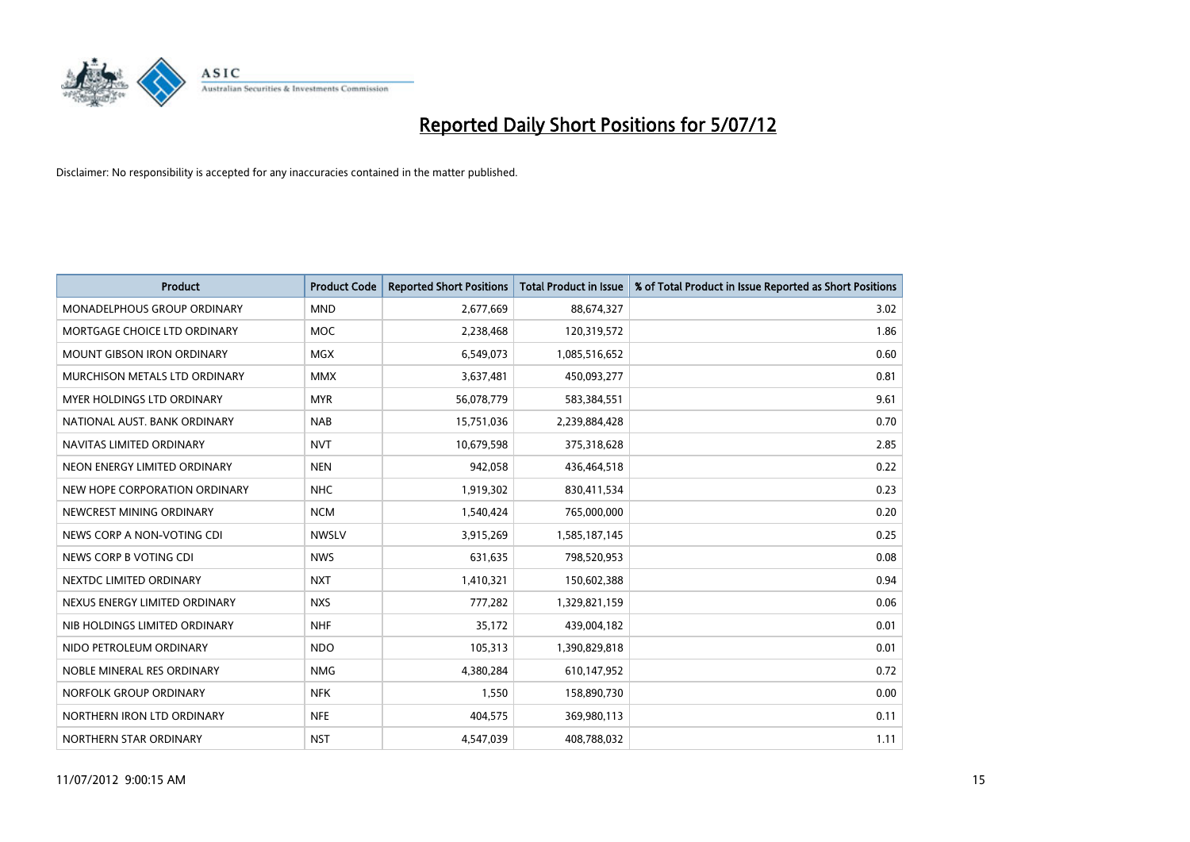

| <b>Product</b>                    | <b>Product Code</b> | <b>Reported Short Positions</b> | <b>Total Product in Issue</b> | % of Total Product in Issue Reported as Short Positions |
|-----------------------------------|---------------------|---------------------------------|-------------------------------|---------------------------------------------------------|
| MONADELPHOUS GROUP ORDINARY       | <b>MND</b>          | 2,677,669                       | 88,674,327                    | 3.02                                                    |
| MORTGAGE CHOICE LTD ORDINARY      | <b>MOC</b>          | 2,238,468                       | 120,319,572                   | 1.86                                                    |
| <b>MOUNT GIBSON IRON ORDINARY</b> | <b>MGX</b>          | 6,549,073                       | 1,085,516,652                 | 0.60                                                    |
| MURCHISON METALS LTD ORDINARY     | <b>MMX</b>          | 3,637,481                       | 450,093,277                   | 0.81                                                    |
| MYER HOLDINGS LTD ORDINARY        | <b>MYR</b>          | 56,078,779                      | 583,384,551                   | 9.61                                                    |
| NATIONAL AUST, BANK ORDINARY      | <b>NAB</b>          | 15,751,036                      | 2,239,884,428                 | 0.70                                                    |
| NAVITAS LIMITED ORDINARY          | <b>NVT</b>          | 10,679,598                      | 375,318,628                   | 2.85                                                    |
| NEON ENERGY LIMITED ORDINARY      | <b>NEN</b>          | 942,058                         | 436,464,518                   | 0.22                                                    |
| NEW HOPE CORPORATION ORDINARY     | <b>NHC</b>          | 1,919,302                       | 830,411,534                   | 0.23                                                    |
| NEWCREST MINING ORDINARY          | <b>NCM</b>          | 1,540,424                       | 765,000,000                   | 0.20                                                    |
| NEWS CORP A NON-VOTING CDI        | <b>NWSLV</b>        | 3,915,269                       | 1,585,187,145                 | 0.25                                                    |
| NEWS CORP B VOTING CDI            | <b>NWS</b>          | 631,635                         | 798,520,953                   | 0.08                                                    |
| NEXTDC LIMITED ORDINARY           | <b>NXT</b>          | 1,410,321                       | 150,602,388                   | 0.94                                                    |
| NEXUS ENERGY LIMITED ORDINARY     | <b>NXS</b>          | 777,282                         | 1,329,821,159                 | 0.06                                                    |
| NIB HOLDINGS LIMITED ORDINARY     | <b>NHF</b>          | 35,172                          | 439,004,182                   | 0.01                                                    |
| NIDO PETROLEUM ORDINARY           | <b>NDO</b>          | 105,313                         | 1,390,829,818                 | 0.01                                                    |
| NOBLE MINERAL RES ORDINARY        | <b>NMG</b>          | 4,380,284                       | 610,147,952                   | 0.72                                                    |
| NORFOLK GROUP ORDINARY            | <b>NFK</b>          | 1,550                           | 158,890,730                   | 0.00                                                    |
| NORTHERN IRON LTD ORDINARY        | <b>NFE</b>          | 404,575                         | 369,980,113                   | 0.11                                                    |
| NORTHERN STAR ORDINARY            | <b>NST</b>          | 4,547,039                       | 408,788,032                   | 1.11                                                    |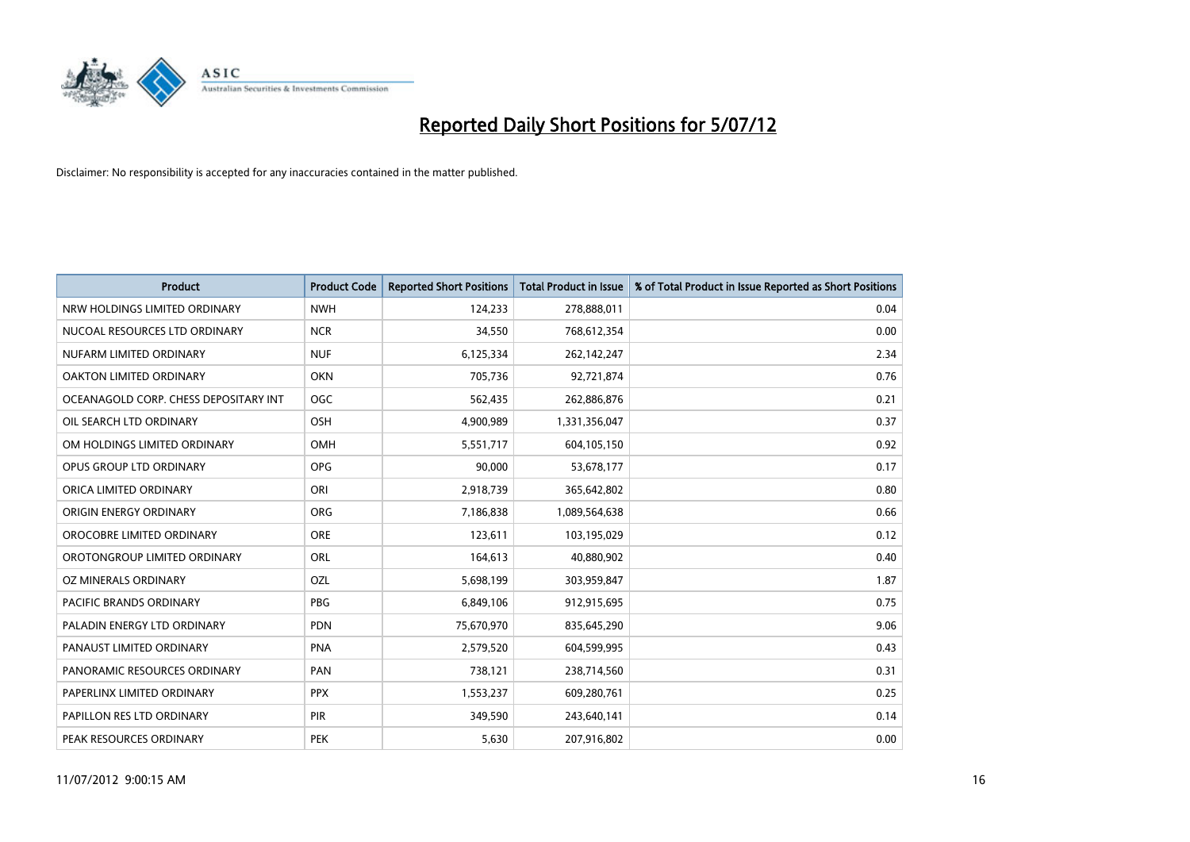

| <b>Product</b>                        | <b>Product Code</b> | <b>Reported Short Positions</b> | <b>Total Product in Issue</b> | % of Total Product in Issue Reported as Short Positions |
|---------------------------------------|---------------------|---------------------------------|-------------------------------|---------------------------------------------------------|
| NRW HOLDINGS LIMITED ORDINARY         | <b>NWH</b>          | 124,233                         | 278,888,011                   | 0.04                                                    |
| NUCOAL RESOURCES LTD ORDINARY         | <b>NCR</b>          | 34,550                          | 768,612,354                   | 0.00                                                    |
| NUFARM LIMITED ORDINARY               | <b>NUF</b>          | 6,125,334                       | 262,142,247                   | 2.34                                                    |
| OAKTON LIMITED ORDINARY               | <b>OKN</b>          | 705,736                         | 92,721,874                    | 0.76                                                    |
| OCEANAGOLD CORP. CHESS DEPOSITARY INT | OGC                 | 562,435                         | 262,886,876                   | 0.21                                                    |
| OIL SEARCH LTD ORDINARY               | OSH                 | 4,900,989                       | 1,331,356,047                 | 0.37                                                    |
| OM HOLDINGS LIMITED ORDINARY          | <b>OMH</b>          | 5,551,717                       | 604,105,150                   | 0.92                                                    |
| OPUS GROUP LTD ORDINARY               | <b>OPG</b>          | 90,000                          | 53,678,177                    | 0.17                                                    |
| ORICA LIMITED ORDINARY                | ORI                 | 2,918,739                       | 365,642,802                   | 0.80                                                    |
| ORIGIN ENERGY ORDINARY                | <b>ORG</b>          | 7,186,838                       | 1,089,564,638                 | 0.66                                                    |
| OROCOBRE LIMITED ORDINARY             | <b>ORE</b>          | 123,611                         | 103,195,029                   | 0.12                                                    |
| OROTONGROUP LIMITED ORDINARY          | ORL                 | 164,613                         | 40,880,902                    | 0.40                                                    |
| OZ MINERALS ORDINARY                  | OZL                 | 5,698,199                       | 303,959,847                   | 1.87                                                    |
| PACIFIC BRANDS ORDINARY               | <b>PBG</b>          | 6,849,106                       | 912,915,695                   | 0.75                                                    |
| PALADIN ENERGY LTD ORDINARY           | <b>PDN</b>          | 75,670,970                      | 835,645,290                   | 9.06                                                    |
| PANAUST LIMITED ORDINARY              | <b>PNA</b>          | 2,579,520                       | 604,599,995                   | 0.43                                                    |
| PANORAMIC RESOURCES ORDINARY          | PAN                 | 738,121                         | 238,714,560                   | 0.31                                                    |
| PAPERLINX LIMITED ORDINARY            | <b>PPX</b>          | 1,553,237                       | 609,280,761                   | 0.25                                                    |
| PAPILLON RES LTD ORDINARY             | <b>PIR</b>          | 349,590                         | 243,640,141                   | 0.14                                                    |
| PEAK RESOURCES ORDINARY               | <b>PEK</b>          | 5,630                           | 207,916,802                   | 0.00                                                    |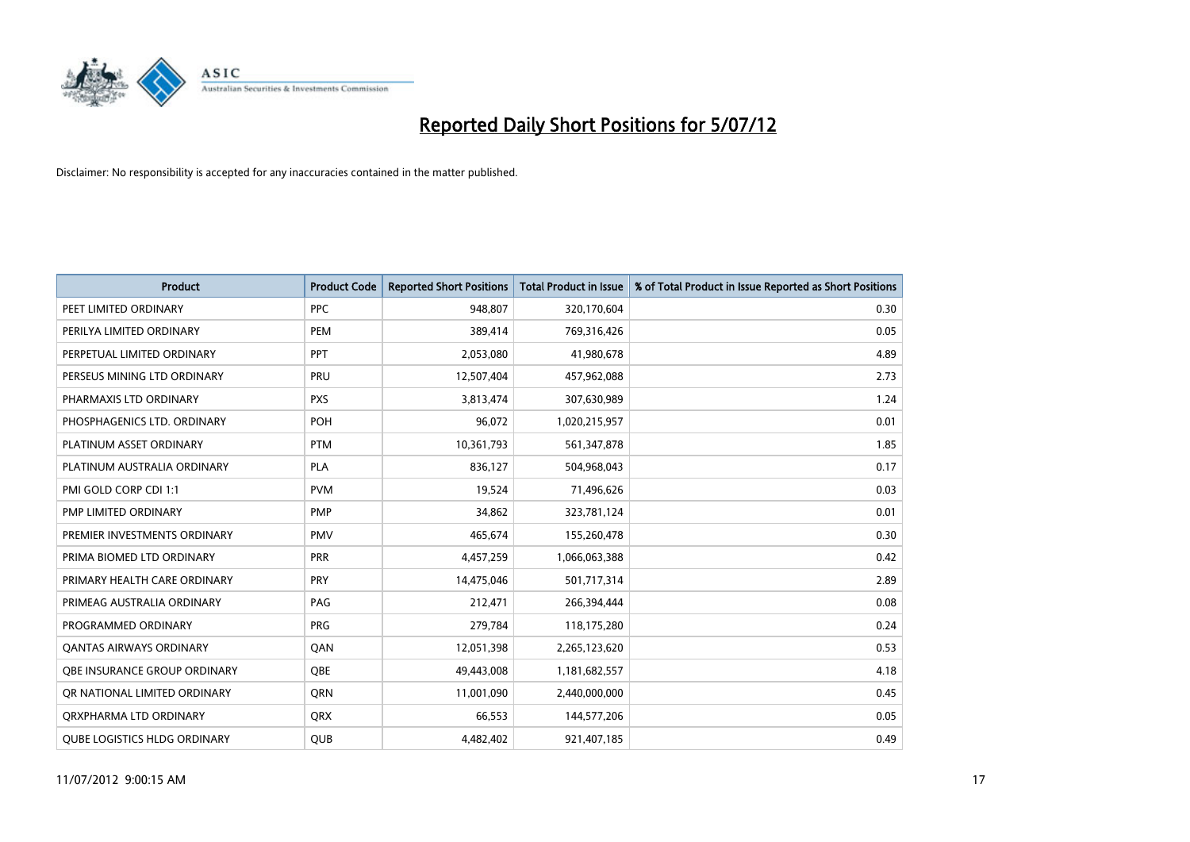

| <b>Product</b>                      | <b>Product Code</b> | <b>Reported Short Positions</b> | <b>Total Product in Issue</b> | % of Total Product in Issue Reported as Short Positions |
|-------------------------------------|---------------------|---------------------------------|-------------------------------|---------------------------------------------------------|
| PEET LIMITED ORDINARY               | <b>PPC</b>          | 948,807                         | 320,170,604                   | 0.30                                                    |
| PERILYA LIMITED ORDINARY            | PEM                 | 389,414                         | 769,316,426                   | 0.05                                                    |
| PERPETUAL LIMITED ORDINARY          | <b>PPT</b>          | 2,053,080                       | 41,980,678                    | 4.89                                                    |
| PERSEUS MINING LTD ORDINARY         | PRU                 | 12,507,404                      | 457,962,088                   | 2.73                                                    |
| PHARMAXIS LTD ORDINARY              | <b>PXS</b>          | 3,813,474                       | 307,630,989                   | 1.24                                                    |
| PHOSPHAGENICS LTD. ORDINARY         | POH                 | 96,072                          | 1,020,215,957                 | 0.01                                                    |
| PLATINUM ASSET ORDINARY             | <b>PTM</b>          | 10,361,793                      | 561,347,878                   | 1.85                                                    |
| PLATINUM AUSTRALIA ORDINARY         | <b>PLA</b>          | 836,127                         | 504,968,043                   | 0.17                                                    |
| PMI GOLD CORP CDI 1:1               | <b>PVM</b>          | 19,524                          | 71,496,626                    | 0.03                                                    |
| PMP LIMITED ORDINARY                | <b>PMP</b>          | 34,862                          | 323,781,124                   | 0.01                                                    |
| PREMIER INVESTMENTS ORDINARY        | <b>PMV</b>          | 465,674                         | 155,260,478                   | 0.30                                                    |
| PRIMA BIOMED LTD ORDINARY           | PRR                 | 4,457,259                       | 1,066,063,388                 | 0.42                                                    |
| PRIMARY HEALTH CARE ORDINARY        | <b>PRY</b>          | 14,475,046                      | 501,717,314                   | 2.89                                                    |
| PRIMEAG AUSTRALIA ORDINARY          | PAG                 | 212,471                         | 266,394,444                   | 0.08                                                    |
| PROGRAMMED ORDINARY                 | <b>PRG</b>          | 279,784                         | 118,175,280                   | 0.24                                                    |
| <b>QANTAS AIRWAYS ORDINARY</b>      | QAN                 | 12,051,398                      | 2,265,123,620                 | 0.53                                                    |
| <b>OBE INSURANCE GROUP ORDINARY</b> | <b>OBE</b>          | 49,443,008                      | 1,181,682,557                 | 4.18                                                    |
| OR NATIONAL LIMITED ORDINARY        | <b>ORN</b>          | 11,001,090                      | 2,440,000,000                 | 0.45                                                    |
| ORXPHARMA LTD ORDINARY              | <b>QRX</b>          | 66,553                          | 144,577,206                   | 0.05                                                    |
| <b>OUBE LOGISTICS HLDG ORDINARY</b> | <b>OUB</b>          | 4.482.402                       | 921,407,185                   | 0.49                                                    |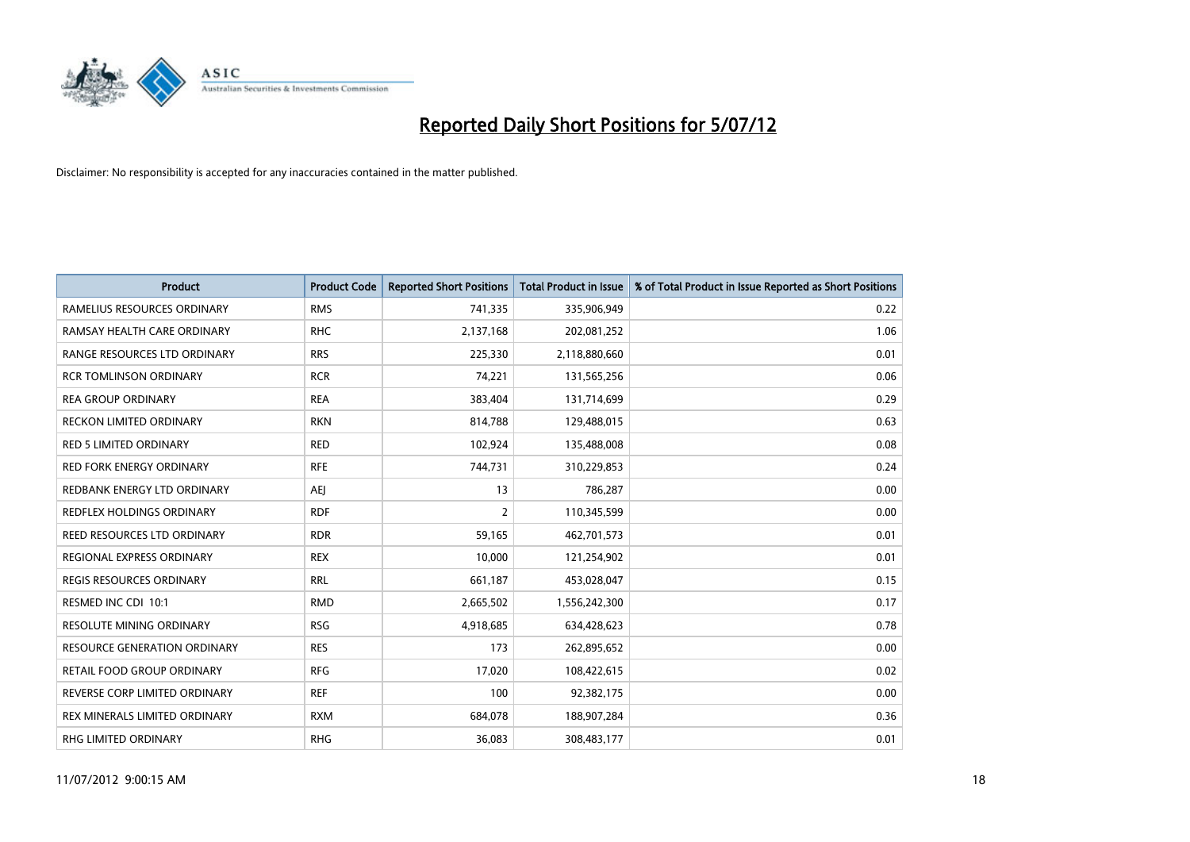

| <b>Product</b>                  | <b>Product Code</b> | <b>Reported Short Positions</b> | <b>Total Product in Issue</b> | % of Total Product in Issue Reported as Short Positions |
|---------------------------------|---------------------|---------------------------------|-------------------------------|---------------------------------------------------------|
| RAMELIUS RESOURCES ORDINARY     | <b>RMS</b>          | 741,335                         | 335,906,949                   | 0.22                                                    |
| RAMSAY HEALTH CARE ORDINARY     | <b>RHC</b>          | 2,137,168                       | 202,081,252                   | 1.06                                                    |
| RANGE RESOURCES LTD ORDINARY    | <b>RRS</b>          | 225,330                         | 2,118,880,660                 | 0.01                                                    |
| <b>RCR TOMLINSON ORDINARY</b>   | <b>RCR</b>          | 74,221                          | 131,565,256                   | 0.06                                                    |
| <b>REA GROUP ORDINARY</b>       | <b>REA</b>          | 383,404                         | 131,714,699                   | 0.29                                                    |
| <b>RECKON LIMITED ORDINARY</b>  | <b>RKN</b>          | 814,788                         | 129,488,015                   | 0.63                                                    |
| <b>RED 5 LIMITED ORDINARY</b>   | <b>RED</b>          | 102,924                         | 135,488,008                   | 0.08                                                    |
| RED FORK ENERGY ORDINARY        | <b>RFE</b>          | 744,731                         | 310,229,853                   | 0.24                                                    |
| REDBANK ENERGY LTD ORDINARY     | AEJ                 | 13                              | 786,287                       | 0.00                                                    |
| REDFLEX HOLDINGS ORDINARY       | <b>RDF</b>          | 2                               | 110,345,599                   | 0.00                                                    |
| REED RESOURCES LTD ORDINARY     | <b>RDR</b>          | 59,165                          | 462,701,573                   | 0.01                                                    |
| REGIONAL EXPRESS ORDINARY       | <b>REX</b>          | 10,000                          | 121,254,902                   | 0.01                                                    |
| REGIS RESOURCES ORDINARY        | <b>RRL</b>          | 661,187                         | 453,028,047                   | 0.15                                                    |
| RESMED INC CDI 10:1             | <b>RMD</b>          | 2,665,502                       | 1,556,242,300                 | 0.17                                                    |
| <b>RESOLUTE MINING ORDINARY</b> | <b>RSG</b>          | 4,918,685                       | 634,428,623                   | 0.78                                                    |
| RESOURCE GENERATION ORDINARY    | <b>RES</b>          | 173                             | 262,895,652                   | 0.00                                                    |
| RETAIL FOOD GROUP ORDINARY      | <b>RFG</b>          | 17,020                          | 108,422,615                   | 0.02                                                    |
| REVERSE CORP LIMITED ORDINARY   | <b>REF</b>          | 100                             | 92,382,175                    | 0.00                                                    |
| REX MINERALS LIMITED ORDINARY   | <b>RXM</b>          | 684,078                         | 188,907,284                   | 0.36                                                    |
| RHG LIMITED ORDINARY            | <b>RHG</b>          | 36,083                          | 308,483,177                   | 0.01                                                    |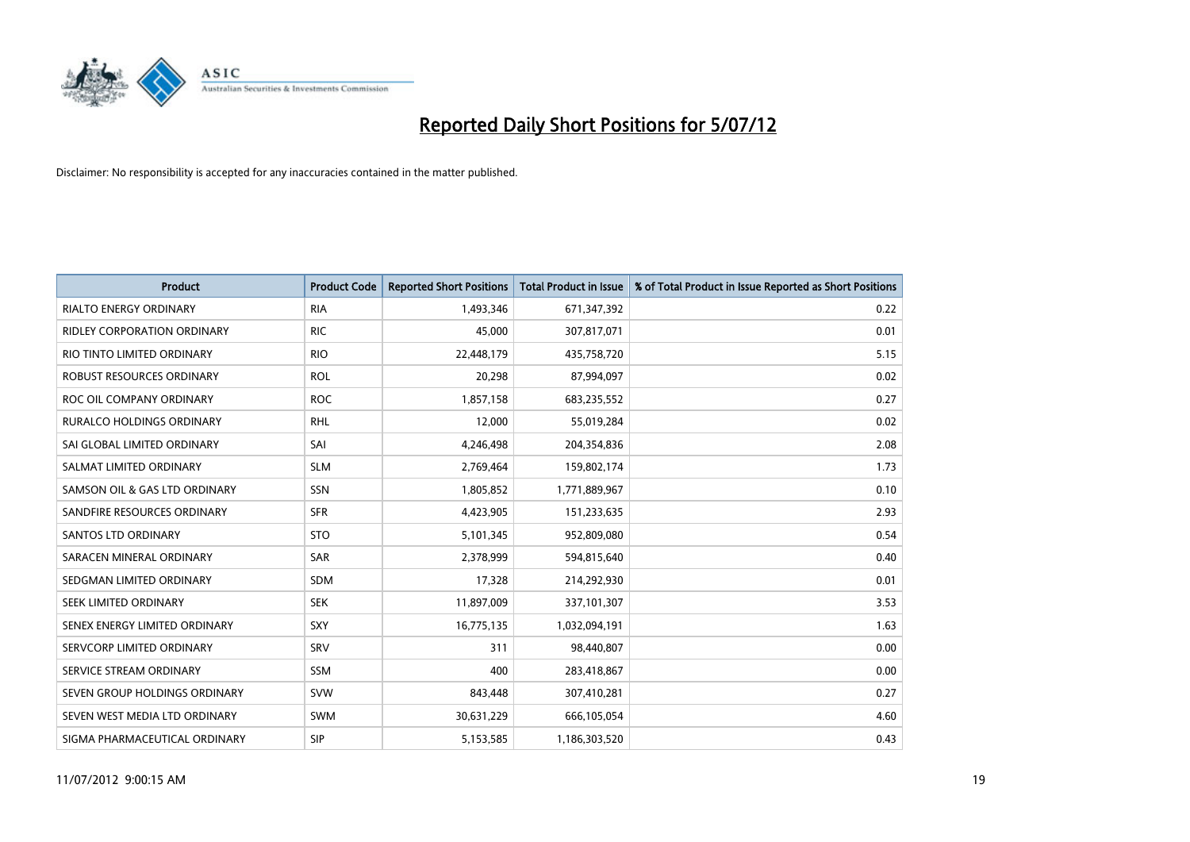

| <b>Product</b>                   | <b>Product Code</b> | <b>Reported Short Positions</b> | <b>Total Product in Issue</b> | % of Total Product in Issue Reported as Short Positions |
|----------------------------------|---------------------|---------------------------------|-------------------------------|---------------------------------------------------------|
| <b>RIALTO ENERGY ORDINARY</b>    | <b>RIA</b>          | 1,493,346                       | 671,347,392                   | 0.22                                                    |
| RIDLEY CORPORATION ORDINARY      | <b>RIC</b>          | 45,000                          | 307,817,071                   | 0.01                                                    |
| RIO TINTO LIMITED ORDINARY       | <b>RIO</b>          | 22,448,179                      | 435,758,720                   | 5.15                                                    |
| ROBUST RESOURCES ORDINARY        | <b>ROL</b>          | 20,298                          | 87,994,097                    | 0.02                                                    |
| ROC OIL COMPANY ORDINARY         | <b>ROC</b>          | 1,857,158                       | 683,235,552                   | 0.27                                                    |
| <b>RURALCO HOLDINGS ORDINARY</b> | <b>RHL</b>          | 12,000                          | 55,019,284                    | 0.02                                                    |
| SAI GLOBAL LIMITED ORDINARY      | SAI                 | 4,246,498                       | 204,354,836                   | 2.08                                                    |
| SALMAT LIMITED ORDINARY          | <b>SLM</b>          | 2,769,464                       | 159,802,174                   | 1.73                                                    |
| SAMSON OIL & GAS LTD ORDINARY    | SSN                 | 1,805,852                       | 1,771,889,967                 | 0.10                                                    |
| SANDFIRE RESOURCES ORDINARY      | <b>SFR</b>          | 4,423,905                       | 151,233,635                   | 2.93                                                    |
| <b>SANTOS LTD ORDINARY</b>       | <b>STO</b>          | 5,101,345                       | 952,809,080                   | 0.54                                                    |
| SARACEN MINERAL ORDINARY         | SAR                 | 2,378,999                       | 594,815,640                   | 0.40                                                    |
| SEDGMAN LIMITED ORDINARY         | <b>SDM</b>          | 17,328                          | 214,292,930                   | 0.01                                                    |
| <b>SEEK LIMITED ORDINARY</b>     | <b>SEK</b>          | 11,897,009                      | 337,101,307                   | 3.53                                                    |
| SENEX ENERGY LIMITED ORDINARY    | <b>SXY</b>          | 16,775,135                      | 1,032,094,191                 | 1.63                                                    |
| SERVCORP LIMITED ORDINARY        | SRV                 | 311                             | 98,440,807                    | 0.00                                                    |
| SERVICE STREAM ORDINARY          | <b>SSM</b>          | 400                             | 283,418,867                   | 0.00                                                    |
| SEVEN GROUP HOLDINGS ORDINARY    | <b>SVW</b>          | 843,448                         | 307,410,281                   | 0.27                                                    |
| SEVEN WEST MEDIA LTD ORDINARY    | <b>SWM</b>          | 30,631,229                      | 666,105,054                   | 4.60                                                    |
| SIGMA PHARMACEUTICAL ORDINARY    | <b>SIP</b>          | 5,153,585                       | 1,186,303,520                 | 0.43                                                    |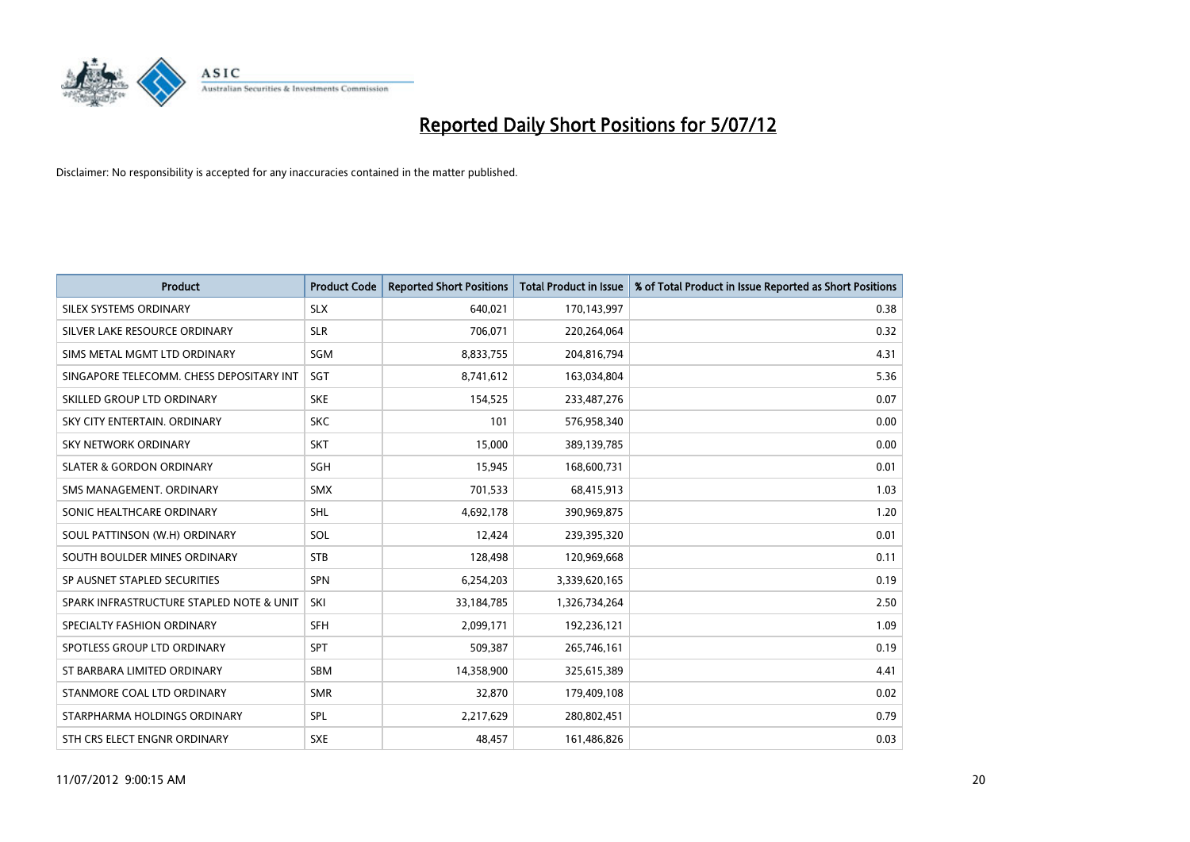

| <b>Product</b>                           | <b>Product Code</b> | <b>Reported Short Positions</b> | <b>Total Product in Issue</b> | % of Total Product in Issue Reported as Short Positions |
|------------------------------------------|---------------------|---------------------------------|-------------------------------|---------------------------------------------------------|
| SILEX SYSTEMS ORDINARY                   | <b>SLX</b>          | 640.021                         | 170,143,997                   | 0.38                                                    |
| SILVER LAKE RESOURCE ORDINARY            | <b>SLR</b>          | 706,071                         | 220,264,064                   | 0.32                                                    |
| SIMS METAL MGMT LTD ORDINARY             | SGM                 | 8,833,755                       | 204,816,794                   | 4.31                                                    |
| SINGAPORE TELECOMM. CHESS DEPOSITARY INT | <b>SGT</b>          | 8,741,612                       | 163,034,804                   | 5.36                                                    |
| SKILLED GROUP LTD ORDINARY               | <b>SKE</b>          | 154,525                         | 233,487,276                   | 0.07                                                    |
| SKY CITY ENTERTAIN, ORDINARY             | <b>SKC</b>          | 101                             | 576,958,340                   | 0.00                                                    |
| SKY NETWORK ORDINARY                     | <b>SKT</b>          | 15,000                          | 389,139,785                   | 0.00                                                    |
| <b>SLATER &amp; GORDON ORDINARY</b>      | <b>SGH</b>          | 15,945                          | 168,600,731                   | 0.01                                                    |
| SMS MANAGEMENT, ORDINARY                 | <b>SMX</b>          | 701,533                         | 68,415,913                    | 1.03                                                    |
| SONIC HEALTHCARE ORDINARY                | <b>SHL</b>          | 4,692,178                       | 390,969,875                   | 1.20                                                    |
| SOUL PATTINSON (W.H) ORDINARY            | SOL                 | 12,424                          | 239,395,320                   | 0.01                                                    |
| SOUTH BOULDER MINES ORDINARY             | <b>STB</b>          | 128,498                         | 120,969,668                   | 0.11                                                    |
| SP AUSNET STAPLED SECURITIES             | <b>SPN</b>          | 6,254,203                       | 3,339,620,165                 | 0.19                                                    |
| SPARK INFRASTRUCTURE STAPLED NOTE & UNIT | SKI                 | 33,184,785                      | 1,326,734,264                 | 2.50                                                    |
| SPECIALTY FASHION ORDINARY               | <b>SFH</b>          | 2,099,171                       | 192,236,121                   | 1.09                                                    |
| SPOTLESS GROUP LTD ORDINARY              | <b>SPT</b>          | 509,387                         | 265,746,161                   | 0.19                                                    |
| ST BARBARA LIMITED ORDINARY              | <b>SBM</b>          | 14,358,900                      | 325,615,389                   | 4.41                                                    |
| STANMORE COAL LTD ORDINARY               | <b>SMR</b>          | 32,870                          | 179,409,108                   | 0.02                                                    |
| STARPHARMA HOLDINGS ORDINARY             | <b>SPL</b>          | 2,217,629                       | 280,802,451                   | 0.79                                                    |
| STH CRS ELECT ENGNR ORDINARY             | <b>SXE</b>          | 48,457                          | 161,486,826                   | 0.03                                                    |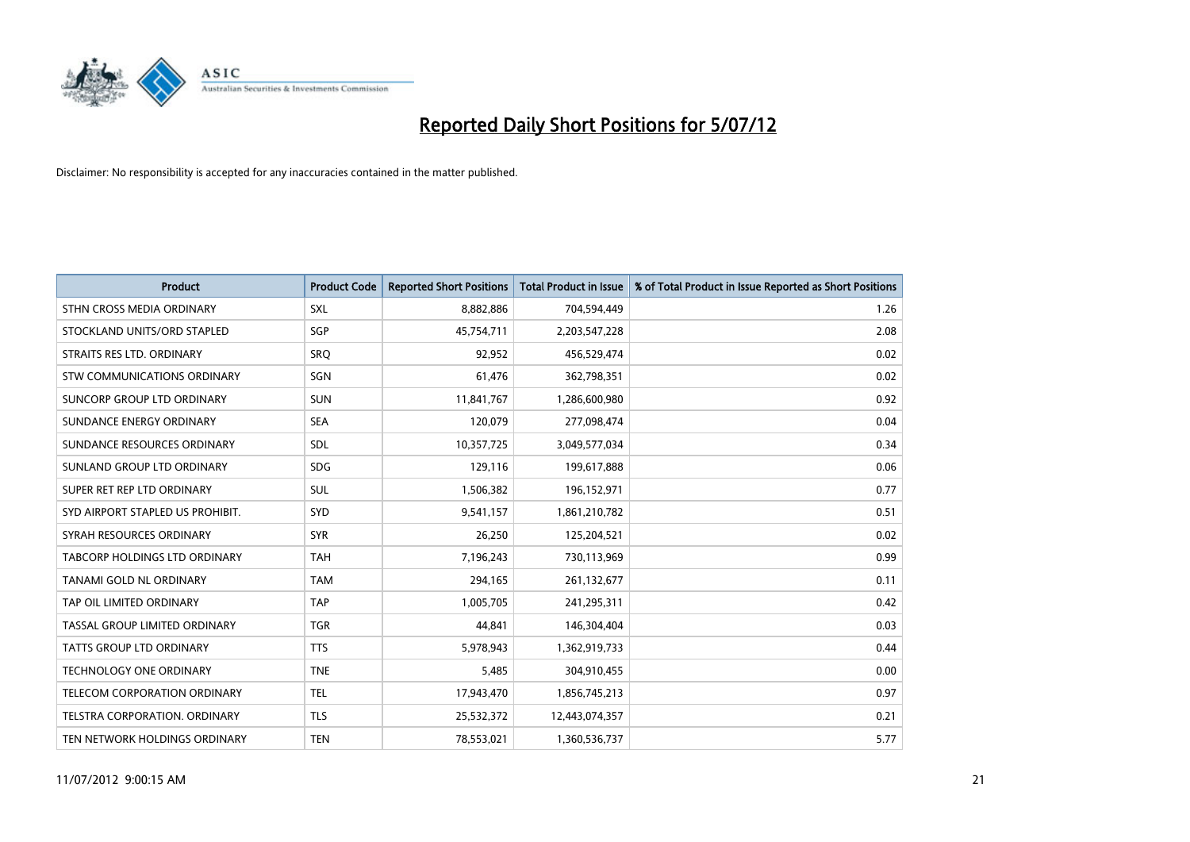

| <b>Product</b>                       | <b>Product Code</b> | <b>Reported Short Positions</b> | <b>Total Product in Issue</b> | % of Total Product in Issue Reported as Short Positions |
|--------------------------------------|---------------------|---------------------------------|-------------------------------|---------------------------------------------------------|
| STHN CROSS MEDIA ORDINARY            | <b>SXL</b>          | 8,882,886                       | 704,594,449                   | 1.26                                                    |
| STOCKLAND UNITS/ORD STAPLED          | <b>SGP</b>          | 45,754,711                      | 2,203,547,228                 | 2.08                                                    |
| STRAITS RES LTD. ORDINARY            | SRO                 | 92,952                          | 456,529,474                   | 0.02                                                    |
| STW COMMUNICATIONS ORDINARY          | SGN                 | 61,476                          | 362,798,351                   | 0.02                                                    |
| SUNCORP GROUP LTD ORDINARY           | <b>SUN</b>          | 11,841,767                      | 1,286,600,980                 | 0.92                                                    |
| SUNDANCE ENERGY ORDINARY             | <b>SEA</b>          | 120,079                         | 277,098,474                   | 0.04                                                    |
| SUNDANCE RESOURCES ORDINARY          | <b>SDL</b>          | 10,357,725                      | 3,049,577,034                 | 0.34                                                    |
| SUNLAND GROUP LTD ORDINARY           | <b>SDG</b>          | 129,116                         | 199,617,888                   | 0.06                                                    |
| SUPER RET REP LTD ORDINARY           | <b>SUL</b>          | 1,506,382                       | 196,152,971                   | 0.77                                                    |
| SYD AIRPORT STAPLED US PROHIBIT.     | <b>SYD</b>          | 9,541,157                       | 1,861,210,782                 | 0.51                                                    |
| SYRAH RESOURCES ORDINARY             | <b>SYR</b>          | 26,250                          | 125,204,521                   | 0.02                                                    |
| <b>TABCORP HOLDINGS LTD ORDINARY</b> | <b>TAH</b>          | 7,196,243                       | 730,113,969                   | 0.99                                                    |
| TANAMI GOLD NL ORDINARY              | <b>TAM</b>          | 294,165                         | 261,132,677                   | 0.11                                                    |
| TAP OIL LIMITED ORDINARY             | <b>TAP</b>          | 1,005,705                       | 241,295,311                   | 0.42                                                    |
| TASSAL GROUP LIMITED ORDINARY        | <b>TGR</b>          | 44.841                          | 146,304,404                   | 0.03                                                    |
| TATTS GROUP LTD ORDINARY             | <b>TTS</b>          | 5,978,943                       | 1,362,919,733                 | 0.44                                                    |
| TECHNOLOGY ONE ORDINARY              | <b>TNE</b>          | 5,485                           | 304,910,455                   | 0.00                                                    |
| TELECOM CORPORATION ORDINARY         | <b>TEL</b>          | 17,943,470                      | 1,856,745,213                 | 0.97                                                    |
| <b>TELSTRA CORPORATION, ORDINARY</b> | <b>TLS</b>          | 25,532,372                      | 12,443,074,357                | 0.21                                                    |
| TEN NETWORK HOLDINGS ORDINARY        | <b>TEN</b>          | 78,553,021                      | 1,360,536,737                 | 5.77                                                    |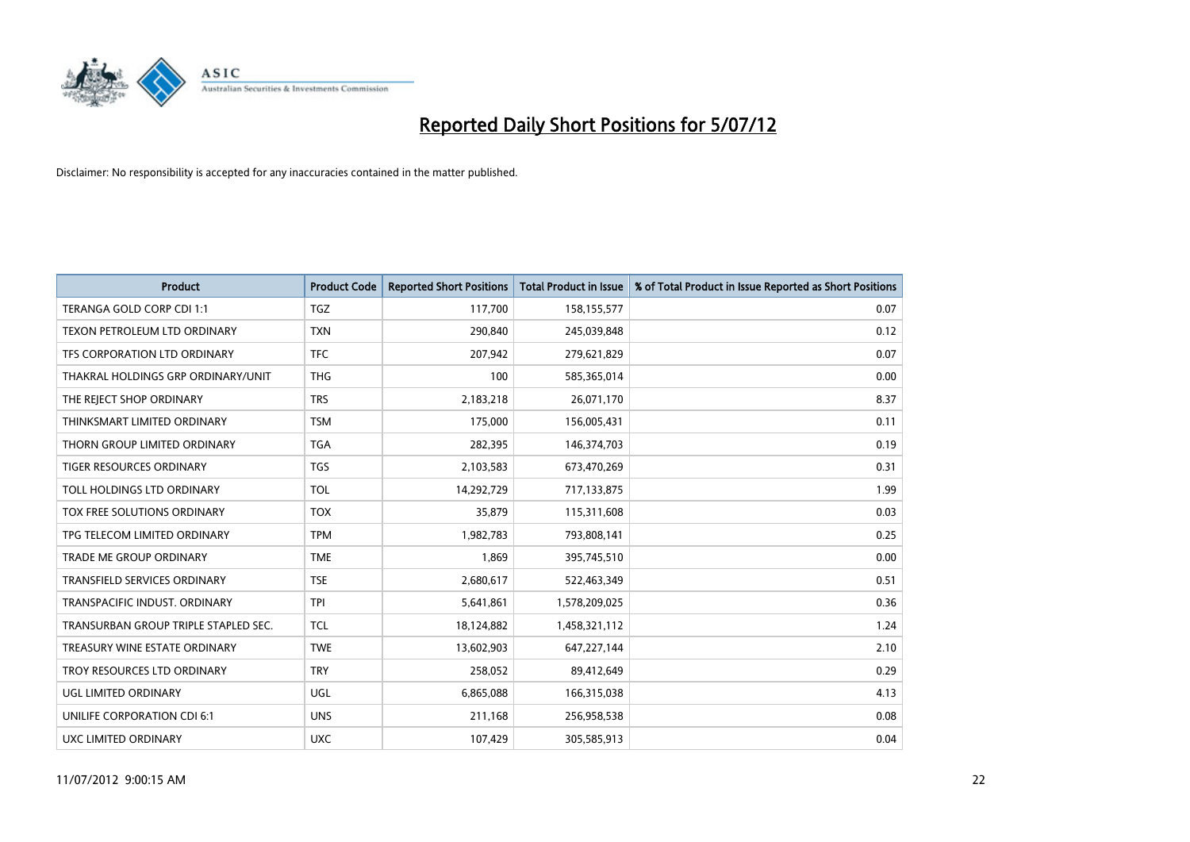

| <b>Product</b>                       | <b>Product Code</b> | <b>Reported Short Positions</b> | <b>Total Product in Issue</b> | % of Total Product in Issue Reported as Short Positions |
|--------------------------------------|---------------------|---------------------------------|-------------------------------|---------------------------------------------------------|
| TERANGA GOLD CORP CDI 1:1            | <b>TGZ</b>          | 117,700                         | 158,155,577                   | 0.07                                                    |
| TEXON PETROLEUM LTD ORDINARY         | <b>TXN</b>          | 290.840                         | 245,039,848                   | 0.12                                                    |
| TFS CORPORATION LTD ORDINARY         | <b>TFC</b>          | 207,942                         | 279,621,829                   | 0.07                                                    |
| THAKRAL HOLDINGS GRP ORDINARY/UNIT   | <b>THG</b>          | 100                             | 585,365,014                   | 0.00                                                    |
| THE REJECT SHOP ORDINARY             | <b>TRS</b>          | 2,183,218                       | 26,071,170                    | 8.37                                                    |
| THINKSMART LIMITED ORDINARY          | <b>TSM</b>          | 175,000                         | 156,005,431                   | 0.11                                                    |
| THORN GROUP LIMITED ORDINARY         | <b>TGA</b>          | 282,395                         | 146,374,703                   | 0.19                                                    |
| <b>TIGER RESOURCES ORDINARY</b>      | <b>TGS</b>          | 2,103,583                       | 673,470,269                   | 0.31                                                    |
| TOLL HOLDINGS LTD ORDINARY           | <b>TOL</b>          | 14,292,729                      | 717,133,875                   | 1.99                                                    |
| <b>TOX FREE SOLUTIONS ORDINARY</b>   | <b>TOX</b>          | 35,879                          | 115,311,608                   | 0.03                                                    |
| TPG TELECOM LIMITED ORDINARY         | <b>TPM</b>          | 1,982,783                       | 793,808,141                   | 0.25                                                    |
| <b>TRADE ME GROUP ORDINARY</b>       | <b>TME</b>          | 1,869                           | 395,745,510                   | 0.00                                                    |
| <b>TRANSFIELD SERVICES ORDINARY</b>  | <b>TSE</b>          | 2,680,617                       | 522,463,349                   | 0.51                                                    |
| TRANSPACIFIC INDUST, ORDINARY        | <b>TPI</b>          | 5,641,861                       | 1,578,209,025                 | 0.36                                                    |
| TRANSURBAN GROUP TRIPLE STAPLED SEC. | <b>TCL</b>          | 18,124,882                      | 1,458,321,112                 | 1.24                                                    |
| TREASURY WINE ESTATE ORDINARY        | <b>TWE</b>          | 13,602,903                      | 647,227,144                   | 2.10                                                    |
| TROY RESOURCES LTD ORDINARY          | <b>TRY</b>          | 258,052                         | 89,412,649                    | 0.29                                                    |
| UGL LIMITED ORDINARY                 | UGL                 | 6,865,088                       | 166,315,038                   | 4.13                                                    |
| UNILIFE CORPORATION CDI 6:1          | <b>UNS</b>          | 211,168                         | 256,958,538                   | 0.08                                                    |
| UXC LIMITED ORDINARY                 | <b>UXC</b>          | 107,429                         | 305,585,913                   | 0.04                                                    |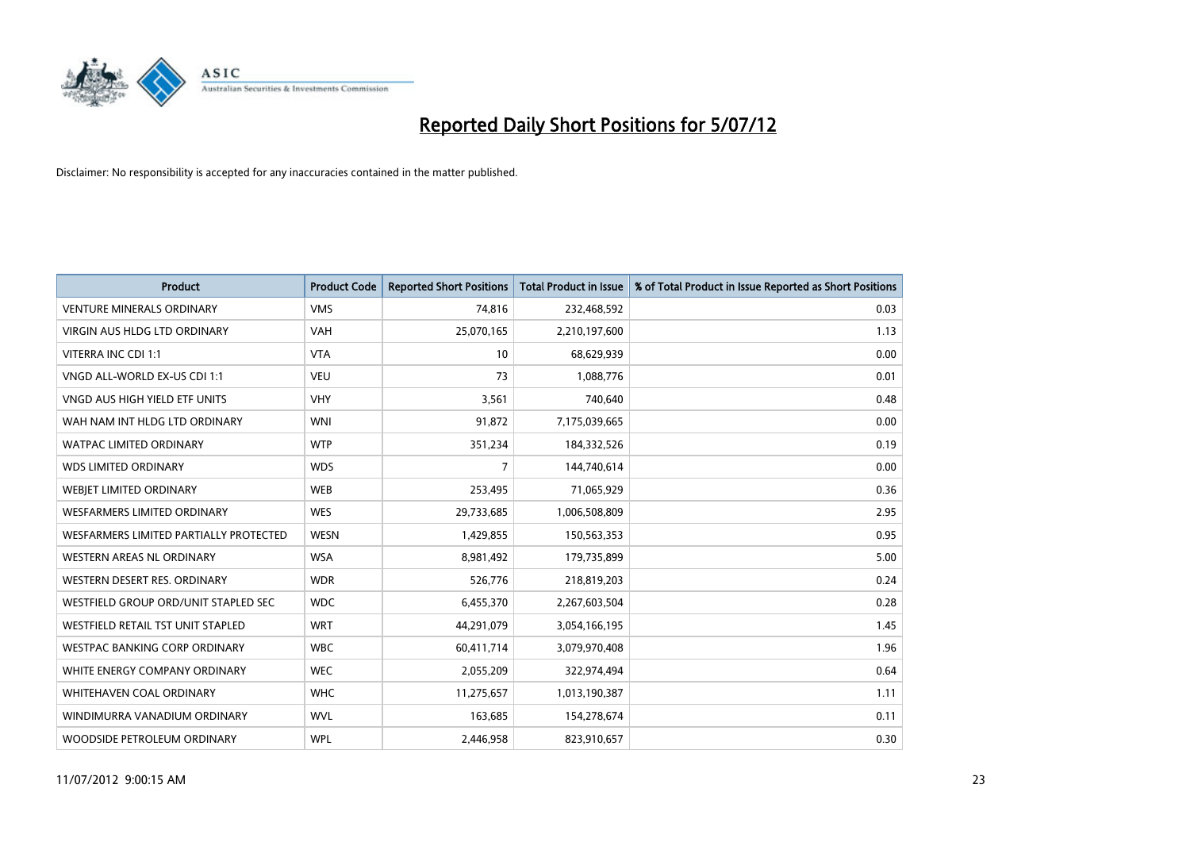

| <b>Product</b>                         | <b>Product Code</b> | <b>Reported Short Positions</b> | <b>Total Product in Issue</b> | % of Total Product in Issue Reported as Short Positions |
|----------------------------------------|---------------------|---------------------------------|-------------------------------|---------------------------------------------------------|
| <b>VENTURE MINERALS ORDINARY</b>       | <b>VMS</b>          | 74,816                          | 232,468,592                   | 0.03                                                    |
| <b>VIRGIN AUS HLDG LTD ORDINARY</b>    | <b>VAH</b>          | 25,070,165                      | 2,210,197,600                 | 1.13                                                    |
| VITERRA INC CDI 1:1                    | <b>VTA</b>          | 10                              | 68,629,939                    | 0.00                                                    |
| VNGD ALL-WORLD EX-US CDI 1:1           | <b>VEU</b>          | 73                              | 1,088,776                     | 0.01                                                    |
| VNGD AUS HIGH YIELD ETF UNITS          | <b>VHY</b>          | 3,561                           | 740,640                       | 0.48                                                    |
| WAH NAM INT HLDG LTD ORDINARY          | <b>WNI</b>          | 91,872                          | 7,175,039,665                 | 0.00                                                    |
| <b>WATPAC LIMITED ORDINARY</b>         | <b>WTP</b>          | 351,234                         | 184,332,526                   | 0.19                                                    |
| <b>WDS LIMITED ORDINARY</b>            | <b>WDS</b>          | 7                               | 144,740,614                   | 0.00                                                    |
| WEBJET LIMITED ORDINARY                | <b>WEB</b>          | 253,495                         | 71,065,929                    | 0.36                                                    |
| <b>WESFARMERS LIMITED ORDINARY</b>     | <b>WES</b>          | 29,733,685                      | 1,006,508,809                 | 2.95                                                    |
| WESFARMERS LIMITED PARTIALLY PROTECTED | <b>WESN</b>         | 1,429,855                       | 150,563,353                   | 0.95                                                    |
| <b>WESTERN AREAS NL ORDINARY</b>       | <b>WSA</b>          | 8,981,492                       | 179,735,899                   | 5.00                                                    |
| WESTERN DESERT RES. ORDINARY           | <b>WDR</b>          | 526,776                         | 218,819,203                   | 0.24                                                    |
| WESTFIELD GROUP ORD/UNIT STAPLED SEC   | <b>WDC</b>          | 6,455,370                       | 2,267,603,504                 | 0.28                                                    |
| WESTFIELD RETAIL TST UNIT STAPLED      | <b>WRT</b>          | 44,291,079                      | 3,054,166,195                 | 1.45                                                    |
| WESTPAC BANKING CORP ORDINARY          | <b>WBC</b>          | 60,411,714                      | 3,079,970,408                 | 1.96                                                    |
| WHITE ENERGY COMPANY ORDINARY          | <b>WEC</b>          | 2,055,209                       | 322,974,494                   | 0.64                                                    |
| <b>WHITEHAVEN COAL ORDINARY</b>        | <b>WHC</b>          | 11,275,657                      | 1,013,190,387                 | 1.11                                                    |
| WINDIMURRA VANADIUM ORDINARY           | <b>WVL</b>          | 163,685                         | 154,278,674                   | 0.11                                                    |
| WOODSIDE PETROLEUM ORDINARY            | <b>WPL</b>          | 2,446,958                       | 823,910,657                   | 0.30                                                    |